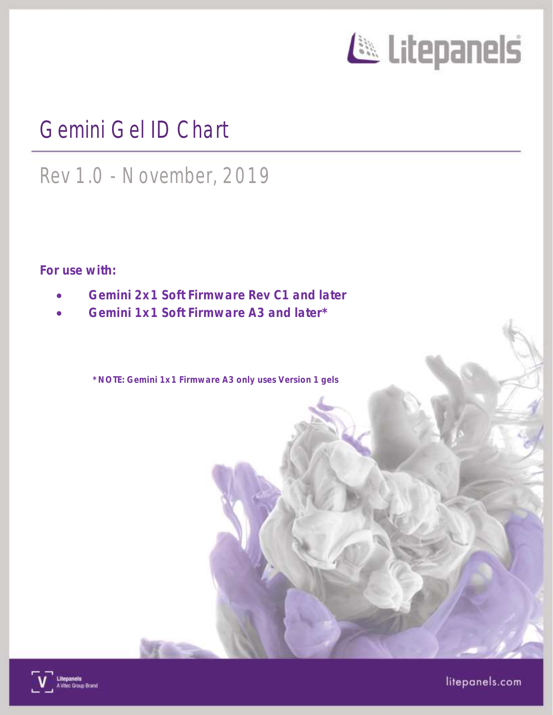

# Gemini Gel ID Chart

# Rev 1.0 - November, 2019

For use with:

- Gemini 2x1 Soft Firmware Rev C1 and later
- Gemini 1x1 Soft Firmware A3 and later\*

\*NOTE: Gemini 1x1 Firmware A3 only uses Version 1 gels



litepanels.com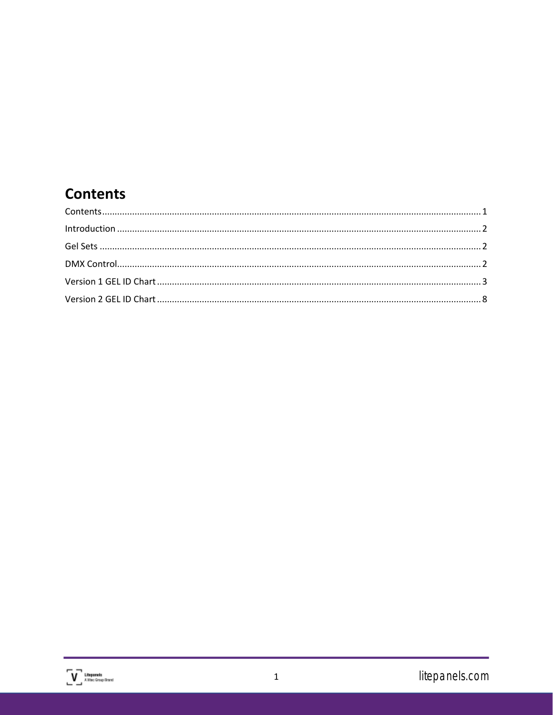### <span id="page-1-0"></span>**Contents**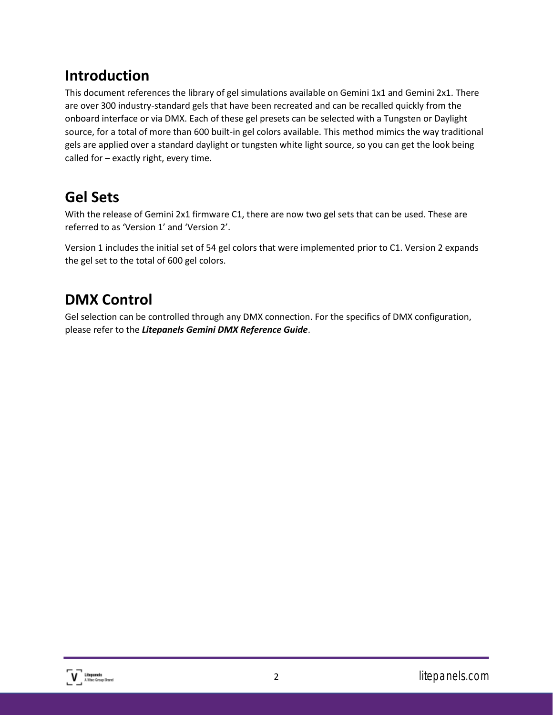#### <span id="page-2-0"></span>**Introduction**

This document references the library of gel simulations available on Gemini 1x1 and Gemini 2x1. There are over 300 industry-standard gels that have been recreated and can be recalled quickly from the onboard interface or via DMX. Each of these gel presets can be selected with a Tungsten or Daylight source, for a total of more than 600 built-in gel colors available. This method mimics the way traditional gels are applied over a standard daylight or tungsten white light source, so you can get the look being called for – exactly right, every time.

#### <span id="page-2-1"></span>**Gel Sets**

With the release of Gemini 2x1 firmware C1, there are now two gel sets that can be used. These are referred to as 'Version 1' and 'Version 2'.

Version 1 includes the initial set of 54 gel colors that were implemented prior to C1. Version 2 expands the gel set to the total of 600 gel colors.

### <span id="page-2-2"></span>**DMX Control**

Gel selection can be controlled through any DMX connection. For the specifics of DMX configuration, please refer to the *Litepanels Gemini DMX Reference Guide*.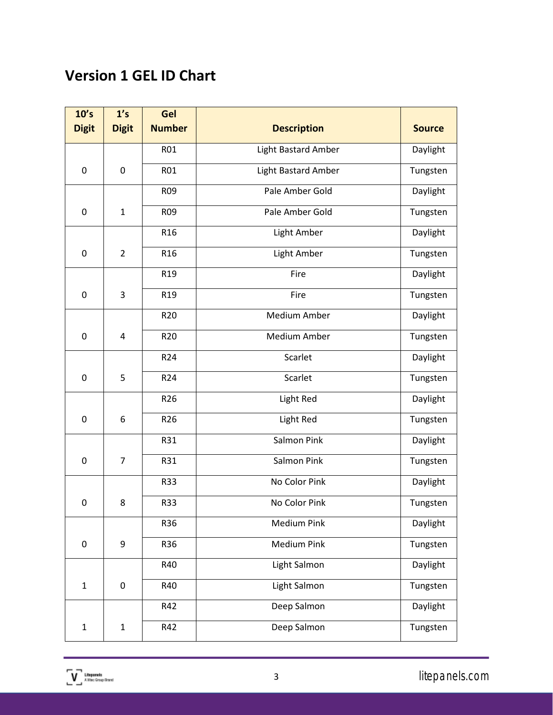### <span id="page-3-0"></span>**Version 1 GEL ID Chart**

| 10's         | 1's            | Gel                               |                            |               |
|--------------|----------------|-----------------------------------|----------------------------|---------------|
| <b>Digit</b> | <b>Digit</b>   | <b>Number</b>                     | <b>Description</b>         | <b>Source</b> |
|              |                | <b>R01</b>                        | <b>Light Bastard Amber</b> | Daylight      |
| 0            | $\mathbf 0$    | <b>R01</b><br>Light Bastard Amber |                            | Tungsten      |
|              |                | R09                               | Pale Amber Gold            | Daylight      |
| 0            | $\mathbf{1}$   | R <sub>09</sub>                   | Pale Amber Gold            | Tungsten      |
|              |                | R <sub>16</sub>                   | Light Amber                | Daylight      |
| $\mathbf 0$  | $\overline{2}$ | R <sub>16</sub>                   | Light Amber                | Tungsten      |
|              |                | R <sub>19</sub>                   | Fire                       | Daylight      |
| 0            | 3              | R <sub>19</sub>                   | Fire                       | Tungsten      |
|              |                | R <sub>20</sub>                   | <b>Medium Amber</b>        | Daylight      |
| 0            | 4              | R <sub>20</sub>                   | <b>Medium Amber</b>        | Tungsten      |
|              |                | R24                               | Scarlet                    | Daylight      |
| $\mathbf 0$  | 5              | R24                               | Scarlet                    | Tungsten      |
|              |                | R26                               | Light Red                  | Daylight      |
| 0            | 6              | R26                               | Light Red                  | Tungsten      |
|              |                | R31<br>Salmon Pink                |                            | Daylight      |
| 0            | $\overline{7}$ | R31                               | <b>Salmon Pink</b>         | Tungsten      |
|              |                | R33                               | No Color Pink              | Daylight      |
| $\mathbf 0$  | 8              | R33                               | No Color Pink              | Tungsten      |
|              |                | R36                               | <b>Medium Pink</b>         | Daylight      |
| 0            | 9<br>R36       |                                   | <b>Medium Pink</b>         | Tungsten      |
|              |                | R40                               | Light Salmon               | Daylight      |
| $\mathbf 1$  | $\pmb{0}$      | R40                               | Light Salmon               | Tungsten      |
|              |                | R42                               | Deep Salmon                | Daylight      |
| $\mathbf{1}$ | $\mathbf{1}$   | R42                               | Deep Salmon                | Tungsten      |

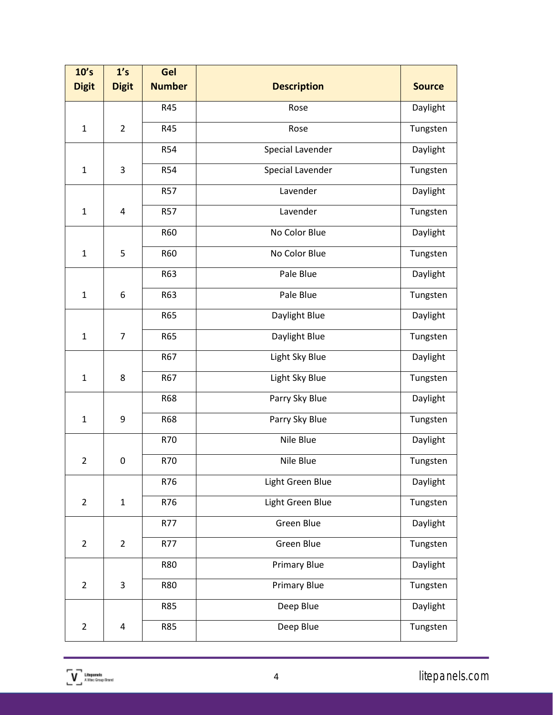| 10's           | 1's              | Gel              |                         |               |
|----------------|------------------|------------------|-------------------------|---------------|
| <b>Digit</b>   | <b>Digit</b>     | <b>Number</b>    | <b>Description</b>      | <b>Source</b> |
|                |                  | R45              | Rose                    | Daylight      |
| $\mathbf{1}$   | $\overline{2}$   | R45              | Rose                    | Tungsten      |
|                |                  | <b>R54</b>       | <b>Special Lavender</b> | Daylight      |
| $\mathbf{1}$   | 3                | <b>R54</b>       | Special Lavender        | Tungsten      |
|                |                  | <b>R57</b>       | Lavender                | Daylight      |
| $\mathbf{1}$   | $\overline{4}$   | <b>R57</b>       | Lavender                | Tungsten      |
|                |                  | <b>R60</b>       | No Color Blue           | Daylight      |
| $\mathbf{1}$   | 5                | R60              | No Color Blue           | Tungsten      |
|                |                  | R63              | Pale Blue               | Daylight      |
| $\mathbf{1}$   | $\boldsymbol{6}$ | R63<br>Pale Blue |                         | Tungsten      |
|                |                  | <b>R65</b>       | Daylight Blue           | Daylight      |
| $\mathbf{1}$   | $\overline{7}$   | <b>R65</b>       | Daylight Blue           |               |
|                |                  | R67              | Light Sky Blue          | Daylight      |
| $\mathbf{1}$   | 8                | R67              | Light Sky Blue          | Tungsten      |
|                |                  | <b>R68</b>       | Parry Sky Blue          | Daylight      |
| $\mathbf{1}$   | 9                | <b>R68</b>       | Parry Sky Blue          | Tungsten      |
|                |                  | R70              | Nile Blue               | Daylight      |
| $\overline{2}$ | $\mathbf 0$      | R70              | Nile Blue               | Tungsten      |
|                |                  | R76              | Light Green Blue        | Daylight      |
| $\overline{2}$ | $\mathbf 1$      | R76              | Light Green Blue        | Tungsten      |
|                |                  | R77              | <b>Green Blue</b>       | Daylight      |
| $\overline{2}$ | $\overline{2}$   | R77              | Green Blue              | Tungsten      |
|                |                  | <b>R80</b>       | <b>Primary Blue</b>     | Daylight      |
| $\overline{2}$ | 3                | R80              | <b>Primary Blue</b>     | Tungsten      |
|                |                  | <b>R85</b>       | Deep Blue               | Daylight      |
| $\overline{2}$ | 4                | <b>R85</b>       | Deep Blue               | Tungsten      |

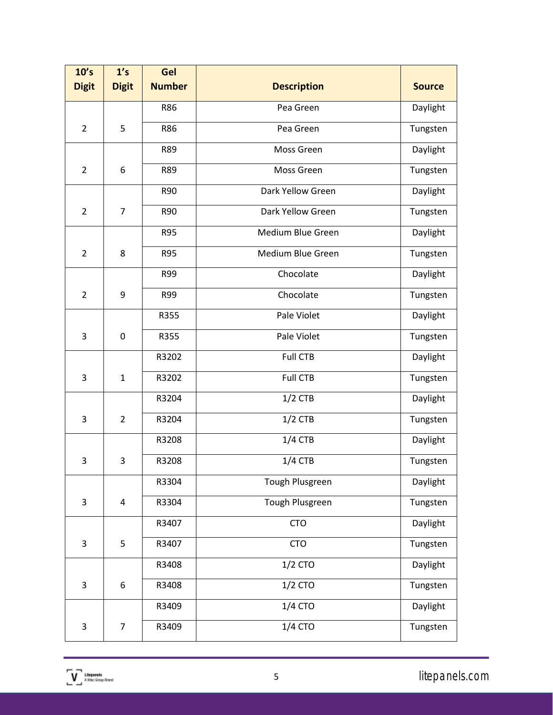| 10's                      | 1's                     | Gel              |                    |               |  |  |
|---------------------------|-------------------------|------------------|--------------------|---------------|--|--|
| <b>Digit</b>              | <b>Digit</b>            | <b>Number</b>    | <b>Description</b> | <b>Source</b> |  |  |
|                           |                         | R86              | Pea Green          | Daylight      |  |  |
| $\overline{2}$            | 5                       | R86              | Pea Green          | Tungsten      |  |  |
|                           |                         | R89              | Moss Green         | Daylight      |  |  |
| $\overline{2}$            | 6                       | <b>R89</b>       | Moss Green         | Tungsten      |  |  |
|                           |                         | R90              | Dark Yellow Green  | Daylight      |  |  |
| $\overline{2}$            | $\overline{7}$          | R90              | Dark Yellow Green  | Tungsten      |  |  |
|                           |                         | <b>R95</b>       | Medium Blue Green  | Daylight      |  |  |
| $\overline{2}$            | 8                       | <b>R95</b>       | Medium Blue Green  | Tungsten      |  |  |
|                           |                         | R99              | Chocolate          | Daylight      |  |  |
| $\overline{2}$            | 9                       | R99<br>Chocolate |                    | Tungsten      |  |  |
|                           |                         | R355             | Pale Violet        | Daylight      |  |  |
| 3                         | $\mathbf 0$             | R355             | Pale Violet        | Tungsten      |  |  |
|                           |                         | R3202            | <b>Full CTB</b>    | Daylight      |  |  |
| 3                         | $\mathbf{1}$            | R3202            | <b>Full CTB</b>    | Tungsten      |  |  |
|                           |                         | R3204            | $1/2$ CTB          |               |  |  |
| 3                         | $\overline{2}$          | R3204            | $1/2$ CTB          | Tungsten      |  |  |
|                           |                         | R3208            | $1/4$ CTB          | Daylight      |  |  |
| 3                         | 3                       | R3208            | $1/4$ CTB          | Tungsten      |  |  |
|                           |                         | R3304            | Tough Plusgreen    | Daylight      |  |  |
| 3                         | $\overline{\mathbf{4}}$ | R3304            | Tough Plusgreen    | Tungsten      |  |  |
|                           |                         | R3407            | <b>CTO</b>         | Daylight      |  |  |
| 3                         | 5                       | R3407            | <b>CTO</b>         | Tungsten      |  |  |
|                           |                         | R3408            | 1/2 CTO            | Daylight      |  |  |
| $\ensuremath{\mathsf{3}}$ | 6                       | R3408            | 1/2 CTO            | Tungsten      |  |  |
|                           |                         | R3409            | 1/4 CTO            | Daylight      |  |  |
| $\ensuremath{\mathsf{3}}$ | $\overline{7}$          | R3409            | 1/4 CTO            | Tungsten      |  |  |

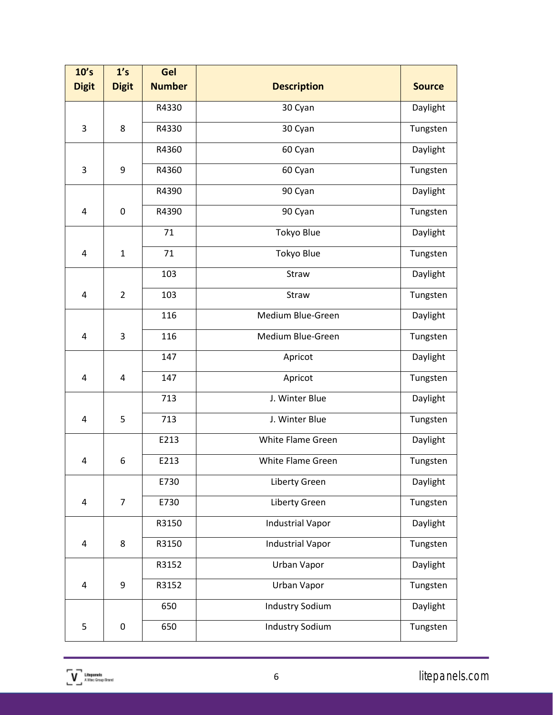| 10's<br><b>Digit</b> | 1's<br><b>Digit</b> | Gel<br><b>Number</b> | <b>Description</b>      | <b>Source</b> |
|----------------------|---------------------|----------------------|-------------------------|---------------|
|                      |                     |                      |                         |               |
|                      |                     | R4330                | 30 Cyan                 | Daylight      |
| 3                    | 8                   | R4330                | 30 Cyan                 | Tungsten      |
|                      |                     | R4360                | 60 Cyan                 | Daylight      |
| 3                    | 9                   | R4360                | 60 Cyan                 | Tungsten      |
|                      |                     | R4390                | 90 Cyan                 | Daylight      |
| 4                    | $\mathbf 0$         | R4390                | 90 Cyan                 | Tungsten      |
|                      |                     | 71                   | <b>Tokyo Blue</b>       | Daylight      |
| $\overline{4}$       | $\mathbf{1}$        | 71                   | Tokyo Blue              | Tungsten      |
|                      |                     | 103                  | Straw                   | Daylight      |
| 4                    | $\overline{2}$      | 103                  | Straw                   | Tungsten      |
|                      |                     | 116                  | Medium Blue-Green       | Daylight      |
| 4                    | 3                   | 116                  | Medium Blue-Green       | Tungsten      |
|                      |                     | 147<br>Apricot       |                         | Daylight      |
| $\overline{4}$       | 4                   | 147                  | Apricot                 | Tungsten      |
|                      |                     | 713                  | J. Winter Blue          |               |
| 4                    | 5                   | 713                  | J. Winter Blue          | Tungsten      |
|                      |                     | E213                 | White Flame Green       | Daylight      |
| 4                    | 6                   | E213                 | White Flame Green       | Tungsten      |
|                      |                     | E730                 | Liberty Green           | Daylight      |
| 4                    | $\overline{7}$      | E730                 | Liberty Green           | Tungsten      |
|                      |                     | R3150                | <b>Industrial Vapor</b> | Daylight      |
| 4                    | 8                   | R3150                | <b>Industrial Vapor</b> | Tungsten      |
|                      |                     | R3152                | Urban Vapor             | Daylight      |
| $\pmb{4}$            | 9                   | R3152                | Urban Vapor             | Tungsten      |
|                      |                     | 650                  | <b>Industry Sodium</b>  | Daylight      |
| 5                    | $\pmb{0}$           | 650                  | <b>Industry Sodium</b>  | Tungsten      |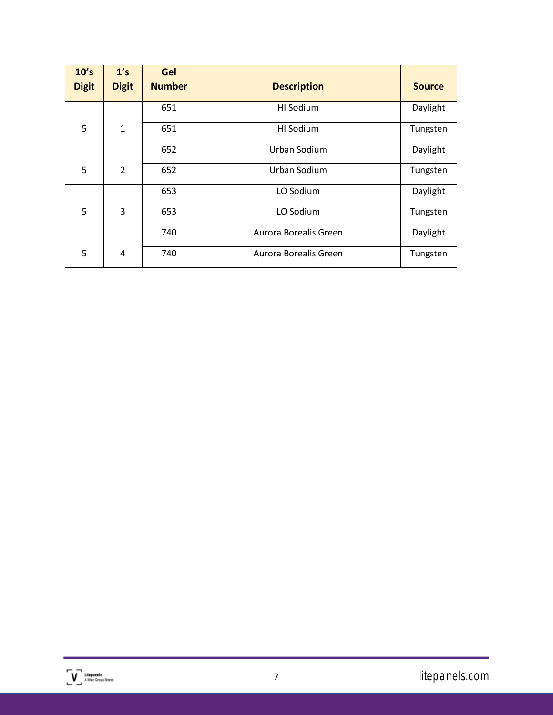| 10's<br><b>Digit</b> | 1's<br><b>Digit</b> | Gel<br><b>Number</b> | <b>Description</b>    | <b>Source</b> |
|----------------------|---------------------|----------------------|-----------------------|---------------|
|                      |                     | 651                  | HI Sodium             | Daylight      |
| 5                    | $\mathbf{1}$        | 651                  | HI Sodium             | Tungsten      |
|                      |                     | 652                  | Urban Sodium          | Daylight      |
| 5                    | $\mathcal{P}$       | 652                  | Urban Sodium          | Tungsten      |
|                      |                     | 653                  | LO Sodium             | Daylight      |
| 5                    | 3                   | 653                  | LO Sodium             | Tungsten      |
|                      |                     | 740                  | Aurora Borealis Green | Daylight      |
| 5                    | 4                   | 740                  | Aurora Borealis Green | Tungsten      |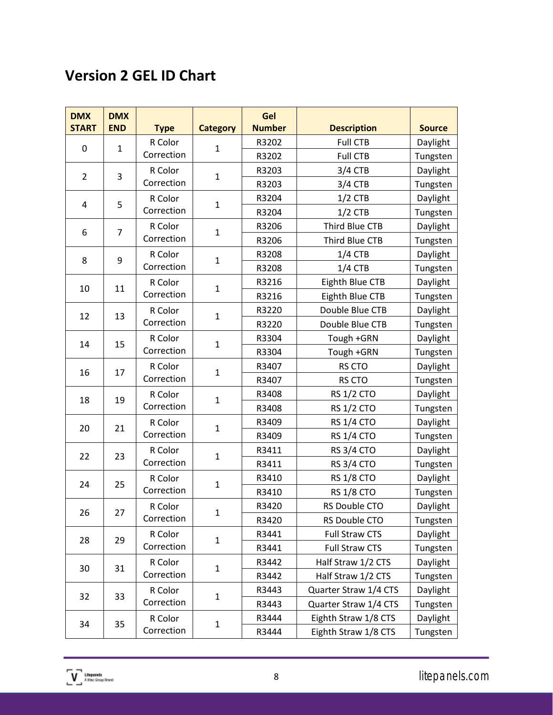## <span id="page-8-0"></span>**Version 2 GEL ID Chart**

| <b>DMX</b><br><b>START</b> | <b>DMX</b><br><b>END</b> | <b>Type</b>           | <b>Category</b> | Gel<br><b>Number</b> | <b>Description</b>    | <b>Source</b> |
|----------------------------|--------------------------|-----------------------|-----------------|----------------------|-----------------------|---------------|
|                            |                          | R Color               |                 | R3202                | <b>Full CTB</b>       | Daylight      |
| 0                          | $\mathbf{1}$             | Correction            | $\mathbf{1}$    | R3202                | <b>Full CTB</b>       | Tungsten      |
|                            |                          | R Color               |                 | R3203                | $3/4$ CTB             | Daylight      |
| $\overline{2}$             | 3                        | Correction            | $\mathbf 1$     | R3203                | $3/4$ CTB             | Tungsten      |
|                            | 5                        | R Color               |                 | R3204                | $1/2$ CTB             | Daylight      |
| 4                          |                          | Correction            | $\mathbf 1$     | R3204                | $1/2$ CTB             | Tungsten      |
| 6                          | $\overline{7}$           | R Color               | $\mathbf{1}$    | R3206                | Third Blue CTB        | Daylight      |
|                            |                          | Correction            |                 | R3206                | Third Blue CTB        | Tungsten      |
| 8                          | 9                        | R Color               | $\mathbf{1}$    | R3208                | $1/4$ CTB             | Daylight      |
|                            |                          | Correction            |                 | R3208                | $1/4$ CTB             | Tungsten      |
| 10                         | 11                       | R Color               | $\mathbf{1}$    | R3216                | Eighth Blue CTB       | Daylight      |
|                            |                          | Correction            |                 | R3216                | Eighth Blue CTB       | Tungsten      |
| 12                         | 13                       | R Color               | $\mathbf{1}$    | R3220                | Double Blue CTB       | Daylight      |
|                            |                          | Correction            |                 | R3220                | Double Blue CTB       | Tungsten      |
| 14                         | 15                       | R Color               | $\mathbf{1}$    | R3304                | Tough +GRN            | Daylight      |
|                            |                          | Correction            |                 | R3304                | Tough +GRN            | Tungsten      |
| 16                         | 17                       | R Color<br>Correction | $\mathbf 1$     | R3407                | RS CTO                | Daylight      |
|                            |                          |                       |                 | R3407                | RS CTO                | Tungsten      |
| 18                         | 19                       | R Color               | $\mathbf{1}$    | R3408                | <b>RS 1/2 CTO</b>     | Daylight      |
|                            |                          | Correction            |                 | R3408                | <b>RS 1/2 CTO</b>     | Tungsten      |
| 20                         | 21                       | R Color               | $\mathbf{1}$    | R3409                | <b>RS 1/4 CTO</b>     | Daylight      |
|                            |                          | Correction            |                 | R3409                | <b>RS 1/4 CTO</b>     | Tungsten      |
| 22                         | 23                       | R Color               | $\mathbf 1$     | R3411                | <b>RS 3/4 CTO</b>     | Daylight      |
|                            |                          | Correction            |                 | R3411                | <b>RS 3/4 CTO</b>     | Tungsten      |
| 24                         | 25                       | R Color               | $\mathbf{1}$    | R3410                | <b>RS 1/8 CTO</b>     | Daylight      |
|                            |                          | Correction            |                 | R3410                | <b>RS 1/8 CTO</b>     | Tungsten      |
| 26                         | 27                       | R Color               | ı               | R3420                | RS Double CTO         | Daylight      |
|                            |                          | Correction            |                 | R3420                | RS Double CTO         | Tungsten      |
| 28                         | 29                       | R Color               | $\mathbf{1}$    | R3441                | Full Straw CTS        | Daylight      |
|                            |                          | Correction            |                 | R3441                | <b>Full Straw CTS</b> | Tungsten      |
| 30                         | 31                       | R Color               | $\mathbf{1}$    | R3442                | Half Straw 1/2 CTS    | Daylight      |
|                            |                          | Correction            |                 | R3442                | Half Straw 1/2 CTS    | Tungsten      |
| 32                         | 33                       | R Color               | $\mathbf 1$     | R3443                | Quarter Straw 1/4 CTS | Daylight      |
|                            |                          | Correction            |                 | R3443                | Quarter Straw 1/4 CTS | Tungsten      |
| 34                         | 35                       | R Color               | $\mathbf 1$     | R3444                | Eighth Straw 1/8 CTS  | Daylight      |
|                            |                          | Correction            |                 | R3444                | Eighth Straw 1/8 CTS  | Tungsten      |

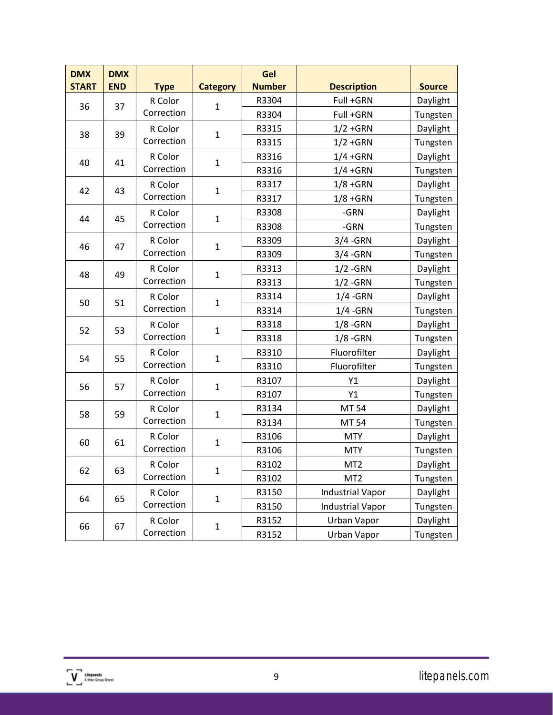| <b>DMX</b><br><b>START</b> | <b>DMX</b><br><b>END</b> | <b>Type</b>           | <b>Category</b> | Gel<br><b>Number</b> | <b>Description</b>      | <b>Source</b> |          |
|----------------------------|--------------------------|-----------------------|-----------------|----------------------|-------------------------|---------------|----------|
|                            |                          | R Color               |                 | R3304                | Full +GRN               | Daylight      |          |
| 36                         | 37                       | Correction            | $\mathbf{1}$    | R3304                | Full +GRN               | Tungsten      |          |
| 38                         | 39                       | R Color               | $\mathbf{1}$    | R3315                | $1/2 + GRN$             | Daylight      |          |
|                            |                          | Correction            |                 | R3315                | $1/2 + GRN$             | Tungsten      |          |
|                            | 41                       | R Color               | $\mathbf{1}$    | R3316                | $1/4 + GRN$             | Daylight      |          |
| 40                         |                          | Correction            |                 | R3316                | $1/4 + GRN$             | Tungsten      |          |
| 42                         | 43                       | R Color               | $\mathbf{1}$    | R3317                | $1/8 + GRN$             | Daylight      |          |
|                            |                          | Correction            |                 | R3317                | $1/8 + GRN$             | Tungsten      |          |
| 44                         | 45                       | R Color               | $\mathbf{1}$    | R3308                | -GRN                    | Daylight      |          |
|                            |                          | Correction            |                 | R3308                | -GRN                    | Tungsten      |          |
|                            |                          | R Color               | $\mathbf{1}$    | R3309                | $3/4 - GRN$             | Daylight      |          |
| 46                         | 47                       | Correction            |                 | R3309                | $3/4 - GRN$             | Tungsten      |          |
| 48                         |                          | R Color               | $\mathbf{1}$    | R3313                | $1/2$ -GRN              | Daylight      |          |
|                            | 49                       | Correction            |                 | R3313                | $1/2$ -GRN              | Tungsten      |          |
| 50                         | 51                       | R Color<br>Correction |                 |                      | R3314                   | $1/4 - GRN$   | Daylight |
|                            |                          |                       | $\mathbf{1}$    | R3314                | $1/4 - GRN$             | Tungsten      |          |
|                            | 53                       | R Color               |                 | R3318                | $1/8$ -GRN              | Daylight      |          |
| 52                         |                          | Correction            | $\mathbf 1$     | R3318                | $1/8$ -GRN              | Tungsten      |          |
| 54                         | 55                       | R Color               | $\mathbf{1}$    | R3310                | Fluorofilter            | Daylight      |          |
|                            |                          | Correction            |                 | R3310                | Fluorofilter            | Tungsten      |          |
| 56                         | 57                       | R Color               | $\mathbf{1}$    | R3107                | Y1                      | Daylight      |          |
|                            |                          | Correction            |                 | R3107                | Y1                      | Tungsten      |          |
|                            | 59                       | R Color               | $\mathbf{1}$    | R3134                | MT 54                   | Daylight      |          |
| 58                         |                          | Correction            |                 | R3134                | <b>MT 54</b>            | Tungsten      |          |
|                            | 61                       | R Color               | $\mathbf{1}$    | R3106                | <b>MTY</b>              | Daylight      |          |
| 60                         |                          | Correction            |                 | R3106                | <b>MTY</b>              | Tungsten      |          |
|                            |                          | R Color               |                 | R3102                | MT <sub>2</sub>         | Daylight      |          |
| 62                         | 63                       | Correction            | 1               | R3102                | MT <sub>2</sub>         | Tungsten      |          |
|                            |                          | R Color               |                 | R3150                | <b>Industrial Vapor</b> | Daylight      |          |
| 64                         | 65                       | Correction            | $\mathbf{1}$    | R3150                | <b>Industrial Vapor</b> | Tungsten      |          |
|                            |                          | R Color               |                 | R3152                | Urban Vapor             | Daylight      |          |
| 66                         | 67                       | Correction            | $\mathbf{1}$    | R3152                | Urban Vapor             | Tungsten      |          |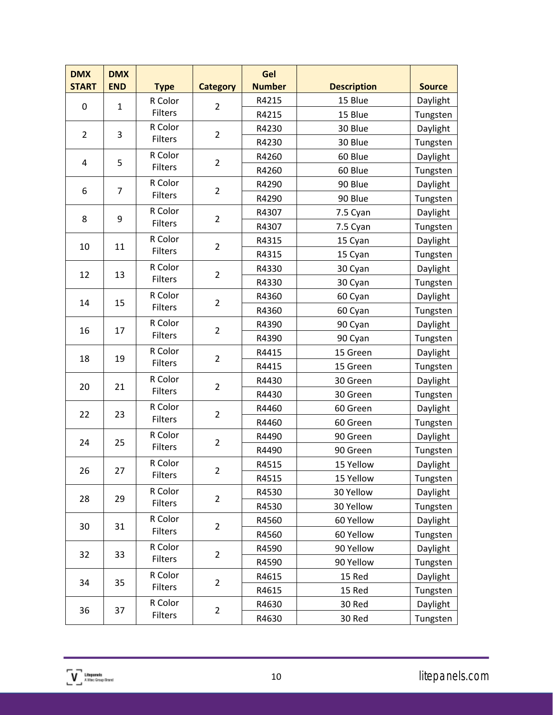| <b>DMX</b>     | <b>DMX</b>     |                                 |                 | Gel            |                    |               |          |
|----------------|----------------|---------------------------------|-----------------|----------------|--------------------|---------------|----------|
| <b>START</b>   | <b>END</b>     | <b>Type</b>                     | <b>Category</b> | <b>Number</b>  | <b>Description</b> | <b>Source</b> |          |
| 0              | $\mathbf{1}$   | R Color                         | $\overline{2}$  | R4215          | 15 Blue            | Daylight      |          |
|                |                | <b>Filters</b>                  |                 | R4215          | 15 Blue            | Tungsten      |          |
| $\overline{2}$ | 3              | R Color                         | $\overline{2}$  | R4230          | 30 Blue            | Daylight      |          |
|                |                | <b>Filters</b>                  |                 | R4230          | 30 Blue            | Tungsten      |          |
| 4              | 5              | R Color                         | $\overline{2}$  | R4260          | 60 Blue            | Daylight      |          |
|                |                | <b>Filters</b>                  |                 | R4260          | 60 Blue            | Tungsten      |          |
| 6              | $\overline{7}$ | R Color                         | $\overline{2}$  | R4290          | 90 Blue            | Daylight      |          |
|                |                | <b>Filters</b>                  |                 | R4290          | 90 Blue            | Tungsten      |          |
| 8              | 9              | R Color                         | $\overline{2}$  | R4307          | 7.5 Cyan           | Daylight      |          |
|                |                | <b>Filters</b>                  |                 | R4307          | 7.5 Cyan           | Tungsten      |          |
| 10             | 11             | R Color                         | $\overline{2}$  | R4315          | 15 Cyan            | Daylight      |          |
|                |                | <b>Filters</b>                  |                 | R4315          | 15 Cyan            | Tungsten      |          |
| 12             | 13             | R Color                         | $\overline{2}$  | R4330          | 30 Cyan            | Daylight      |          |
|                |                | Filters                         |                 | R4330          | 30 Cyan            | Tungsten      |          |
| 14             | 15             | R Color                         | $\overline{2}$  | R4360          | 60 Cyan            | Daylight      |          |
|                |                | <b>Filters</b>                  |                 | R4360          | 60 Cyan            | Tungsten      |          |
| 16             | 17             | R Color                         | $\overline{2}$  | R4390          | 90 Cyan            | Daylight      |          |
|                |                | <b>Filters</b>                  |                 | R4390          | 90 Cyan            | Tungsten      |          |
| 18             | 19             | R Color                         |                 | $\overline{2}$ | R4415              | 15 Green      | Daylight |
|                |                | <b>Filters</b>                  |                 | R4415          | 15 Green           | Tungsten      |          |
| 20             |                | R Color<br>21<br><b>Filters</b> | $\overline{2}$  | R4430          | 30 Green           | Daylight      |          |
|                |                |                                 |                 | R4430          | 30 Green           | Tungsten      |          |
|                | 23             | R Color                         | $\overline{2}$  | R4460          | 60 Green           | Daylight      |          |
| 22             |                | <b>Filters</b>                  |                 | R4460          | 60 Green           | Tungsten      |          |
|                |                | R Color                         | $\overline{2}$  | R4490          | 90 Green           | Daylight      |          |
| 24             | 25             | Filters                         |                 | R4490          | 90 Green           | Tungsten      |          |
|                |                | R Color                         |                 | R4515          | 15 Yellow          | Daylight      |          |
| 26             | 27             | <b>Filters</b>                  | 2               | R4515          | 15 Yellow          | Tungsten      |          |
|                |                | R Color                         |                 | R4530          | 30 Yellow          | Daylight      |          |
| 28             | 29             | Filters                         | $\overline{2}$  | R4530          | 30 Yellow          | Tungsten      |          |
|                |                | R Color                         |                 | R4560          | 60 Yellow          | Daylight      |          |
| 30             | 31             | <b>Filters</b>                  | $\overline{2}$  | R4560          | 60 Yellow          | Tungsten      |          |
|                |                | R Color                         |                 | R4590          | 90 Yellow          | Daylight      |          |
| 32             | 33             | <b>Filters</b>                  | $\overline{2}$  | R4590          | 90 Yellow          | Tungsten      |          |
|                |                | R Color                         |                 | R4615          | 15 Red             | Daylight      |          |
| 34             | 35             | Filters                         | $\overline{2}$  | R4615          | 15 Red             | Tungsten      |          |
|                |                | R Color                         |                 | R4630          | 30 Red             | Daylight      |          |
| 36             | 37             | <b>Filters</b>                  | $\overline{2}$  | R4630          | 30 Red             | Tungsten      |          |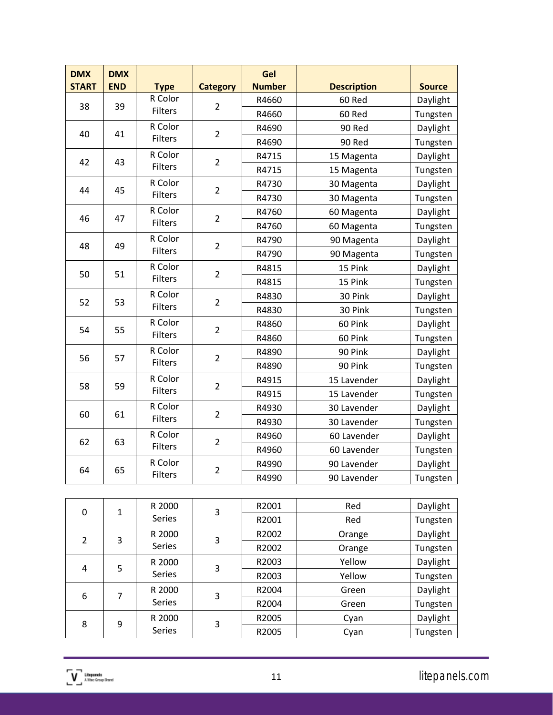| <b>DMX</b>   | <b>DMX</b>   |                           |                 | Gel                  |                    |                             |          |
|--------------|--------------|---------------------------|-----------------|----------------------|--------------------|-----------------------------|----------|
| <b>START</b> | <b>END</b>   | <b>Type</b><br>$R$ Color  | <b>Category</b> | <b>Number</b>        | <b>Description</b> | <b>Source</b>               |          |
| 38           | 39           | Filters                   | $\overline{2}$  | R4660                | 60 Red             | Daylight                    |          |
|              |              | R Color                   |                 | R4660                | 60 Red             | Tungsten                    |          |
| 40           | 41           | Filters                   | $\overline{2}$  | R4690                | 90 Red             | Daylight                    |          |
|              |              |                           |                 | R4690                | 90 Red             | Tungsten                    |          |
| 42           | 43           | R Color<br>Filters        | $\overline{2}$  | R4715                | 15 Magenta         | Daylight                    |          |
|              |              |                           |                 | R4715                | 15 Magenta         | Tungsten                    |          |
| 44           | 45           | R Color<br>Filters        | $\overline{2}$  | R4730                | 30 Magenta         | Daylight                    |          |
|              |              |                           |                 | R4730                | 30 Magenta         | Tungsten                    |          |
| 46           | 47           | R Color                   | $\overline{2}$  | R4760                | 60 Magenta         | Daylight                    |          |
|              |              | <b>Filters</b>            |                 | R4760                | 60 Magenta         | Tungsten                    |          |
| 48           | 49           | R Color                   | $\overline{2}$  | R4790                | 90 Magenta         | Daylight                    |          |
|              |              | Filters                   |                 | R4790                | 90 Magenta         | Tungsten                    |          |
| 50           |              | R Color<br>51<br>Filters  | $\overline{2}$  | R4815                | 15 Pink            | Daylight                    |          |
|              |              |                           |                 | R4815                | 15 Pink            | Tungsten                    |          |
| 52           | 53           | R Color<br><b>Filters</b> |                 | $\overline{2}$       | R4830              | 30 Pink                     | Daylight |
|              |              |                           |                 | R4830                | 30 Pink            | Tungsten                    |          |
| 54           | 55           | R Color                   | $\overline{2}$  | R4860                | 60 Pink            | Daylight                    |          |
|              |              | Filters                   |                 | R4860                | 60 Pink            | Tungsten                    |          |
| 56           | 57           | R Color                   | $\overline{2}$  | R4890                | 90 Pink            | Daylight                    |          |
|              |              | Filters                   |                 | R4890                | 90 Pink            | Tungsten                    |          |
| 58           | 59           | R Color                   | $\overline{2}$  | R4915                | 15 Lavender        | Daylight                    |          |
|              |              | <b>Filters</b>            |                 | R4915                | 15 Lavender        | Tungsten                    |          |
|              |              | R Color                   | $\overline{2}$  | R4930                | 30 Lavender        | Daylight                    |          |
| 60           | 61           | Filters                   |                 | R4930                | 30 Lavender        | Tungsten                    |          |
|              |              | R Color                   |                 | R4960                | 60 Lavender        | Daylight                    |          |
| 62           | 63           | Filters                   | $\overline{2}$  | R4960                | 60 Lavender        | Tungsten                    |          |
|              |              | R Color                   |                 | R4990                | 90 Lavender        | Daylight                    |          |
| 64           | 65           | Filters                   | $\overline{2}$  | R4990                | 90 Lavender        | Tungsten                    |          |
|              |              |                           |                 |                      |                    |                             |          |
|              |              | R 2000                    |                 | R2001                | Red                | Daylight                    |          |
| $\pmb{0}$    | $\mathbf{1}$ | Series                    | 3               | R2001                | Red                | Tungsten                    |          |
|              |              |                           |                 | $\sim$ $\sim$ $\sim$ |                    | $\sim$ $\sim$ $\sim$ $\sim$ |          |

| 0              | 1 | n zuuu | 3 | 114001 | 11 L U | Daylığın |
|----------------|---|--------|---|--------|--------|----------|
|                |   | Series |   | R2001  | Red    | Tungsten |
| $\overline{2}$ | 3 | R 2000 | 3 | R2002  | Orange | Daylight |
|                |   | Series |   | R2002  | Orange | Tungsten |
|                | 5 | R 2000 | 3 | R2003  | Yellow | Daylight |
| 4              |   | Series |   | R2003  | Yellow | Tungsten |
| 6<br>7         |   | R 2000 |   | R2004  | Green  | Daylight |
|                |   | Series | 3 | R2004  | Green  | Tungsten |
| 8              | 9 | R 2000 | 3 | R2005  | Cyan   | Daylight |
|                |   | Series |   | R2005  | Cyan   | Tungsten |

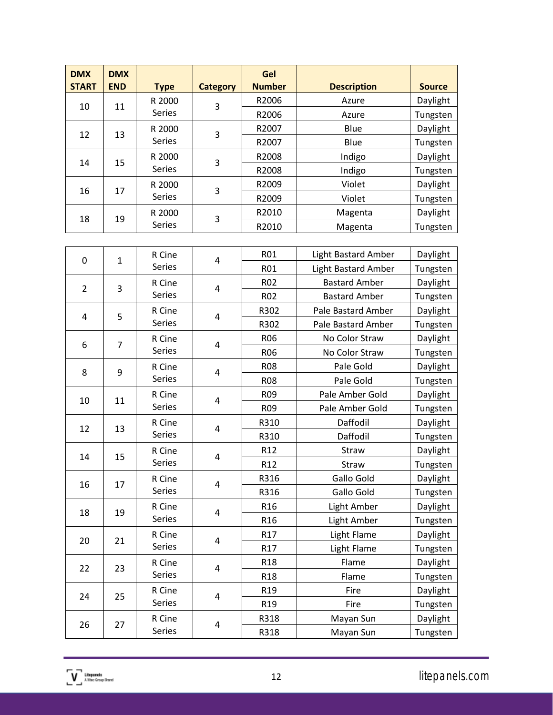| <b>DMX</b><br><b>START</b> | <b>DMX</b><br><b>END</b> |                     |                 | Gel<br><b>Number</b> | <b>Description</b> | <b>Source</b> |
|----------------------------|--------------------------|---------------------|-----------------|----------------------|--------------------|---------------|
|                            |                          | <b>Type</b>         | <b>Category</b> |                      |                    |               |
| 10                         | 11                       | R 2000              | 3               | R2006                | Azure              | Daylight      |
|                            |                          | <b>Series</b>       |                 | R2006                | Azure              | Tungsten      |
| 12                         | 13                       | R 2000              | 3               | R2007                | Blue               | Daylight      |
|                            |                          | <b>Series</b>       |                 | R2007                | Blue               | Tungsten      |
| 14                         | R 2000<br>3              | 15<br><b>Series</b> | R2008           | Indigo               | Daylight           |               |
|                            |                          |                     |                 | R2008                | Indigo             | Tungsten      |
| 16                         | 17                       | R 2000              | 3               | R2009                | Violet             | Daylight      |
|                            |                          | <b>Series</b>       |                 | R2009                | Violet             | Tungsten      |
|                            | 19                       | R 2000              | 3               | R2010                | Magenta            | Daylight      |
| 18                         |                          | <b>Series</b>       |                 | R2010                | Magenta            | Tungsten      |

| 0              | $\mathbf{1}$   | R Cine        | 4                       | <b>R01</b>              | Light Bastard Amber        | Daylight |          |
|----------------|----------------|---------------|-------------------------|-------------------------|----------------------------|----------|----------|
|                |                | <b>Series</b> |                         | <b>R01</b>              | <b>Light Bastard Amber</b> | Tungsten |          |
| $\overline{2}$ | 3              | R Cine        | $\overline{\mathbf{4}}$ | <b>R02</b>              | <b>Bastard Amber</b>       | Daylight |          |
|                |                | Series        |                         | <b>R02</b>              | <b>Bastard Amber</b>       | Tungsten |          |
| 4              | 5              | R Cine        | 4                       | R302                    | Pale Bastard Amber         | Daylight |          |
|                |                | <b>Series</b> |                         | R302                    | Pale Bastard Amber         | Tungsten |          |
| 6              | $\overline{7}$ | R Cine        | $\overline{\mathbf{4}}$ | <b>R06</b>              | No Color Straw             | Daylight |          |
|                |                | Series        |                         | <b>R06</b>              | No Color Straw             | Tungsten |          |
| 8              | 9              | R Cine        | $\overline{\mathbf{4}}$ | <b>R08</b>              | Pale Gold                  | Daylight |          |
|                |                | Series        |                         | <b>R08</b>              | Pale Gold                  | Tungsten |          |
| 10             | 11             | R Cine        | 4                       | <b>R09</b>              | Pale Amber Gold            | Daylight |          |
|                |                | Series        |                         | R <sub>09</sub>         | Pale Amber Gold            | Tungsten |          |
| 12             | 13             | R Cine        | 4                       | R310                    | Daffodil                   | Daylight |          |
|                |                | Series        |                         | R310                    | Daffodil                   | Tungsten |          |
| 14             | 15             | R Cine        |                         | $\overline{\mathbf{4}}$ | R <sub>12</sub>            | Straw    | Daylight |
|                |                | Series        |                         | R <sub>12</sub>         | Straw                      | Tungsten |          |
| 16             | 17             | R Cine        | 4                       | R316                    | Gallo Gold                 | Daylight |          |
|                |                | Series        |                         | R316                    | Gallo Gold                 | Tungsten |          |
| 18             | 19             | R Cine        | 4                       | R <sub>16</sub>         | Light Amber                | Daylight |          |
|                |                | Series        |                         | R <sub>16</sub>         | Light Amber                | Tungsten |          |
| 20             | 21             | R Cine        | $\overline{\mathbf{4}}$ | R <sub>17</sub>         | Light Flame                | Daylight |          |
|                |                | Series        |                         | R17                     | Light Flame                | Tungsten |          |
| 22             | 23             | R Cine        | 4                       | R <sub>18</sub>         | Flame                      | Daylight |          |
|                |                | <b>Series</b> |                         | R <sub>18</sub>         | Flame                      | Tungsten |          |
| 24             | 25             | R Cine        | $\overline{\mathbf{4}}$ | R <sub>19</sub>         | Fire                       | Daylight |          |
|                |                | Series        |                         | R <sub>19</sub>         | Fire                       | Tungsten |          |
| 26             | 27             | R Cine        | $\overline{\mathbf{4}}$ | R318                    | Mayan Sun                  | Daylight |          |
|                |                | Series        |                         | R318                    | Mayan Sun                  | Tungsten |          |
|                |                |               |                         |                         |                            |          |          |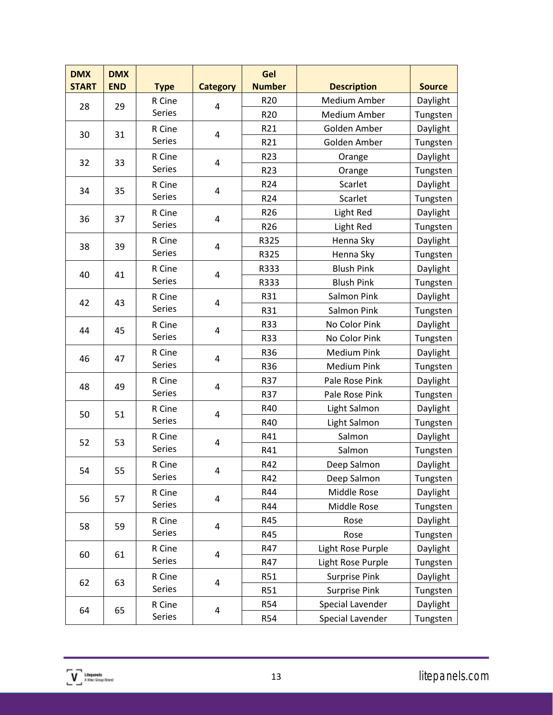| <b>DMX</b><br><b>START</b> | <b>DMX</b><br><b>END</b> | <b>Type</b>   | <b>Category</b> | Gel<br><b>Number</b> | <b>Description</b>   | <b>Source</b> |
|----------------------------|--------------------------|---------------|-----------------|----------------------|----------------------|---------------|
| 28                         | 29                       | R Cine        | 4               | R <sub>20</sub>      | <b>Medium Amber</b>  | Daylight      |
|                            |                          | Series        |                 | R <sub>20</sub>      | <b>Medium Amber</b>  | Tungsten      |
|                            |                          | R Cine        |                 | R21                  | Golden Amber         | Daylight      |
| 30                         | 31                       | Series        | 4               | R21                  | Golden Amber         | Tungsten      |
|                            |                          | R Cine        |                 | R <sub>23</sub>      | Orange               | Daylight      |
| 32                         | 33                       | <b>Series</b> | 4               | R <sub>23</sub>      | Orange               | Tungsten      |
| 34                         | 35                       | R Cine        | 4               | R <sub>24</sub>      | Scarlet              | Daylight      |
|                            |                          | Series        |                 | R <sub>24</sub>      | Scarlet              | Tungsten      |
| 36                         | 37                       | R Cine        | 4               | R <sub>26</sub>      | Light Red            | Daylight      |
|                            |                          | Series        |                 | R <sub>26</sub>      | Light Red            | Tungsten      |
| 38                         | 39                       | R Cine        | 4               | R325                 | Henna Sky            | Daylight      |
|                            |                          | Series        |                 | R325                 | Henna Sky            | Tungsten      |
| 40                         | 41                       | R Cine        | 4               | R333                 | <b>Blush Pink</b>    | Daylight      |
|                            |                          | Series        |                 | R333                 | <b>Blush Pink</b>    | Tungsten      |
| 42                         | 43                       | R Cine        | 4               | R31                  | Salmon Pink          | Daylight      |
|                            |                          | Series        |                 | R31                  | Salmon Pink          | Tungsten      |
|                            | 45                       | R Cine        | 4               | R33                  | No Color Pink        | Daylight      |
| 44                         |                          | Series        |                 | R33                  | No Color Pink        | Tungsten      |
| 46                         | 47                       | R Cine        | 4               | R36                  | <b>Medium Pink</b>   | Daylight      |
|                            |                          | Series        |                 | R36                  | <b>Medium Pink</b>   | Tungsten      |
| 48                         | 49                       | R Cine        | 4               | R37                  | Pale Rose Pink       | Daylight      |
|                            |                          | Series        |                 | R37                  | Pale Rose Pink       | Tungsten      |
| 50                         | 51                       | R Cine        | 4               | R40                  | Light Salmon         | Daylight      |
|                            |                          | Series        |                 | R40                  | Light Salmon         | Tungsten      |
| 52                         | 53                       | R Cine        | 4               | R41                  | Salmon               | Daylight      |
|                            |                          | Series        |                 | R41                  | Salmon               | Tungsten      |
| 54                         |                          | R Cine        |                 | R42                  | Deep Salmon          | Daylight      |
|                            | 55                       | Series        | 4               | R42                  | Deep Salmon          | Tungsten      |
| 56                         | 57                       | R Cine        | 4               | R44                  | Middle Rose          | Daylight      |
|                            |                          | Series        |                 | R44                  | Middle Rose          | Tungsten      |
| 58                         | 59                       | R Cine        | 4               | R45                  | Rose                 | Daylight      |
|                            |                          | Series        |                 | R45                  | Rose                 | Tungsten      |
| 60                         | 61                       | R Cine        | 4               | R47                  | Light Rose Purple    | Daylight      |
|                            |                          | Series        |                 | R47                  | Light Rose Purple    | Tungsten      |
| 62                         | 63                       | R Cine        | 4               | R51                  | <b>Surprise Pink</b> | Daylight      |
|                            |                          | Series        |                 | R51                  | <b>Surprise Pink</b> | Tungsten      |
| 64                         | 65                       | R Cine        | 4               | <b>R54</b>           | Special Lavender     | Daylight      |
|                            |                          | Series        |                 | R54                  | Special Lavender     | Tungsten      |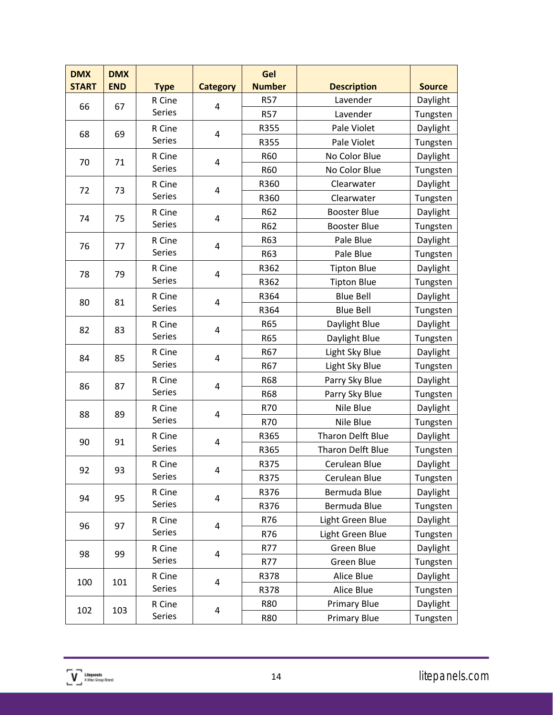| <b>DMX</b><br><b>START</b> | <b>DMX</b><br><b>END</b> | <b>Type</b> | <b>Category</b> | Gel<br><b>Number</b> | <b>Description</b>       | <b>Source</b> |
|----------------------------|--------------------------|-------------|-----------------|----------------------|--------------------------|---------------|
|                            |                          | R Cine      |                 | <b>R57</b>           | Lavender                 | Daylight      |
| 66                         | 67                       | Series      | 4               | <b>R57</b>           | Lavender                 | Tungsten      |
|                            |                          | R Cine      |                 | R355                 | Pale Violet              | Daylight      |
| 68                         | 69                       | Series      | 4               | R355                 | Pale Violet              | Tungsten      |
|                            | 71                       | R Cine      | 4               | R60                  | No Color Blue            | Daylight      |
| 70                         |                          | Series      |                 | R60                  | No Color Blue            | Tungsten      |
| 72                         | 73                       | R Cine      | 4               | R360                 | Clearwater               | Daylight      |
|                            |                          | Series      |                 | R360                 | Clearwater               | Tungsten      |
| 74                         | 75                       | R Cine      | 4               | R62                  | <b>Booster Blue</b>      | Daylight      |
|                            |                          | Series      |                 | R62                  | <b>Booster Blue</b>      | Tungsten      |
| 76                         | 77                       | R Cine      | 4               | R63                  | Pale Blue                | Daylight      |
|                            |                          | Series      |                 | R63                  | Pale Blue                | Tungsten      |
| 78                         | 79                       | R Cine      | 4               | R362                 | <b>Tipton Blue</b>       | Daylight      |
|                            |                          | Series      |                 | R362                 | <b>Tipton Blue</b>       | Tungsten      |
| 80                         | 81                       | R Cine      | 4               | R364                 | <b>Blue Bell</b>         | Daylight      |
|                            |                          | Series      |                 | R364                 | <b>Blue Bell</b>         | Tungsten      |
| 82                         | 83                       | R Cine      | 4               | R65                  | Daylight Blue            | Daylight      |
|                            |                          | Series      |                 | R65                  | Daylight Blue            | Tungsten      |
| 84                         | 85                       | R Cine      | 4               | R67                  | Light Sky Blue           | Daylight      |
|                            |                          | Series      |                 | R67                  | Light Sky Blue           | Tungsten      |
| 86                         | 87                       | R Cine      | 4               | <b>R68</b>           | Parry Sky Blue           | Daylight      |
|                            |                          | Series      |                 | <b>R68</b>           | Parry Sky Blue           | Tungsten      |
| 88                         | 89                       | R Cine      | 4               | R70                  | Nile Blue                | Daylight      |
|                            |                          | Series      |                 | R70                  | Nile Blue                | Tungsten      |
| 90                         | 91                       | R Cine      | 4               | R365                 | Tharon Delft Blue        | Daylight      |
|                            |                          | Series      |                 | R365                 | <b>Tharon Delft Blue</b> | Tungsten      |
| 92                         | 93                       | R Cine      |                 | R375                 | Cerulean Blue            | Daylight      |
|                            |                          | Series      | 4               | R375                 | Cerulean Blue            | Tungsten      |
| 94                         | 95                       | R Cine      | 4               | R376                 | Bermuda Blue             | Daylight      |
|                            |                          | Series      |                 | R376                 | Bermuda Blue             | Tungsten      |
| 96                         | 97                       | R Cine      | 4               | R76                  | Light Green Blue         | Daylight      |
|                            |                          | Series      |                 | R76                  | Light Green Blue         | Tungsten      |
| 98                         | 99                       | R Cine      | 4               | R77                  | Green Blue               | Daylight      |
|                            |                          | Series      |                 | R77                  | Green Blue               | Tungsten      |
| 100                        | 101                      | R Cine      | 4               | R378                 | Alice Blue               | Daylight      |
|                            |                          | Series      |                 | R378                 | Alice Blue               | Tungsten      |
| 102                        | 103                      | R Cine      | 4               | <b>R80</b>           | <b>Primary Blue</b>      | Daylight      |
|                            |                          | Series      |                 | <b>R80</b>           | Primary Blue             | Tungsten      |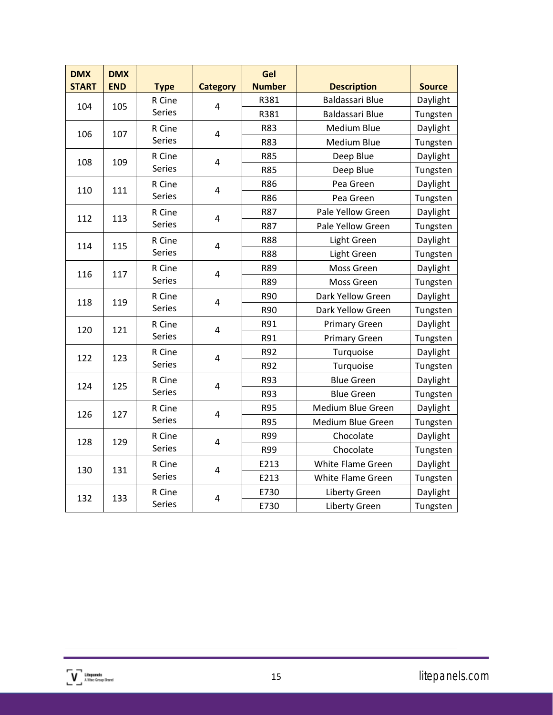| <b>DMX</b>   | <b>DMX</b> |               |                         | Gel           |                        |               |
|--------------|------------|---------------|-------------------------|---------------|------------------------|---------------|
| <b>START</b> | <b>END</b> | <b>Type</b>   | <b>Category</b>         | <b>Number</b> | <b>Description</b>     | <b>Source</b> |
| 104          | 105        | R Cine        | $\overline{4}$          | R381          | <b>Baldassari Blue</b> | Daylight      |
|              |            | Series        |                         | R381          | Baldassari Blue        | Tungsten      |
| 106          | 107        | R Cine        | 4                       | R83           | <b>Medium Blue</b>     | Daylight      |
|              |            | Series        |                         | R83           | Medium Blue            | Tungsten      |
| 108          | 109        | R Cine        | $\overline{\mathbf{4}}$ | <b>R85</b>    | Deep Blue              | Daylight      |
|              |            | Series        |                         | <b>R85</b>    | Deep Blue              | Tungsten      |
| 110          | 111        | R Cine        | 4                       | R86           | Pea Green              | Daylight      |
|              |            | Series        |                         | R86           | Pea Green              | Tungsten      |
| 112          | 113        | R Cine        | 4                       | R87           | Pale Yellow Green      | Daylight      |
|              |            | Series        |                         | R87           | Pale Yellow Green      | Tungsten      |
| 114          | 115        | R Cine        | 4                       | <b>R88</b>    | Light Green            | Daylight      |
|              |            | Series        |                         | <b>R88</b>    | Light Green            | Tungsten      |
| 116          | 117        | R Cine        | 4                       | R89           | Moss Green             | Daylight      |
|              |            | Series        |                         | R89           | Moss Green             | Tungsten      |
| 118          | 119        | R Cine        | 4                       | R90           | Dark Yellow Green      | Daylight      |
|              |            | <b>Series</b> |                         | R90           | Dark Yellow Green      | Tungsten      |
| 120          | 121        | R Cine        | 4                       | R91           | <b>Primary Green</b>   | Daylight      |
|              |            | <b>Series</b> |                         | R91           | <b>Primary Green</b>   | Tungsten      |
| 122          | 123        | R Cine        | $\overline{\mathbf{4}}$ | R92           | Turquoise              | Daylight      |
|              |            | Series        |                         | R92           | Turquoise              | Tungsten      |
| 124          | 125        | R Cine        | 4                       | R93           | <b>Blue Green</b>      | Daylight      |
|              |            | <b>Series</b> |                         | R93           | <b>Blue Green</b>      | Tungsten      |
| 126          | 127        | R Cine        | 4                       | <b>R95</b>    | Medium Blue Green      | Daylight      |
|              |            | Series        |                         | <b>R95</b>    | Medium Blue Green      | Tungsten      |
| 128          | 129        | R Cine        | $\overline{\mathbf{4}}$ | R99           | Chocolate              | Daylight      |
|              |            | Series        |                         | R99           | Chocolate              | Tungsten      |
| 130          |            | R Cine        | $\overline{\mathbf{4}}$ | E213          | White Flame Green      | Daylight      |
|              | 131        | Series        |                         | E213          | White Flame Green      | Tungsten      |
|              |            | R Cine        |                         | E730          | <b>Liberty Green</b>   | Daylight      |
| 132          | 133        | Series        | 4                       | E730          | <b>Liberty Green</b>   | Tungsten      |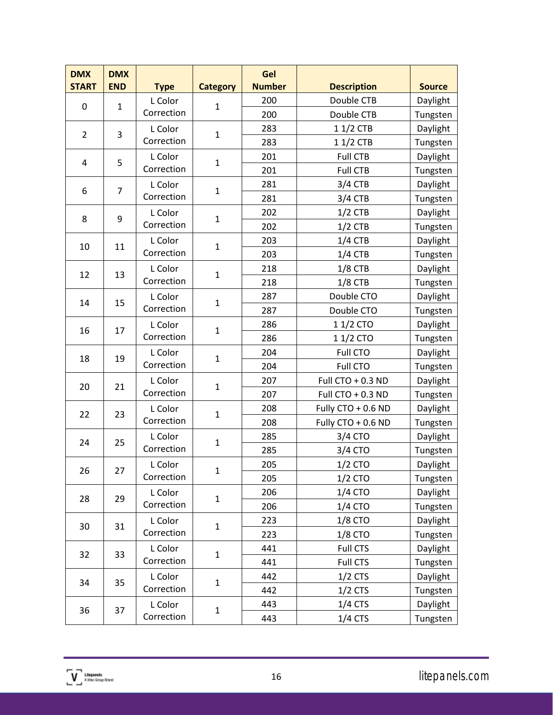| <b>DMX</b><br><b>START</b> | <b>DMX</b><br><b>END</b> | <b>Type</b> | <b>Category</b> | Gel<br><b>Number</b> | <b>Description</b> | <b>Source</b> |
|----------------------------|--------------------------|-------------|-----------------|----------------------|--------------------|---------------|
|                            |                          | L Color     |                 | 200                  | Double CTB         | Daylight      |
| 0                          | $\mathbf{1}$             | Correction  | $\mathbf{1}$    | 200                  | Double CTB         | Tungsten      |
|                            |                          | L Color     |                 | 283                  | 1 1/2 CTB          | Daylight      |
| $\overline{2}$             | 3                        | Correction  | $\mathbf{1}$    | 283                  | $11/2$ CTB         | Tungsten      |
|                            |                          | L Color     |                 | 201                  | <b>Full CTB</b>    | Daylight      |
| 4                          | 5                        | Correction  | $\mathbf{1}$    | 201                  | <b>Full CTB</b>    | Tungsten      |
|                            | $\overline{7}$           | L Color     |                 | 281                  | $3/4$ CTB          | Daylight      |
| 6                          |                          | Correction  | $\mathbf{1}$    | 281                  | $3/4$ CTB          | Tungsten      |
| 8                          | 9                        | L Color     | $\mathbf{1}$    | 202                  | $1/2$ CTB          | Daylight      |
|                            |                          | Correction  |                 | 202                  | $1/2$ CTB          | Tungsten      |
| 10                         | 11                       | L Color     | $\mathbf{1}$    | 203                  | $1/4$ CTB          | Daylight      |
|                            |                          | Correction  |                 | 203                  | $1/4$ CTB          | Tungsten      |
| 12                         | 13                       | L Color     | $\mathbf{1}$    | 218                  | $1/8$ CTB          | Daylight      |
|                            |                          | Correction  |                 | 218                  | $1/8$ CTB          | Tungsten      |
| 14                         | 15                       | L Color     | $\mathbf{1}$    | 287                  | Double CTO         | Daylight      |
|                            |                          | Correction  |                 | 287                  | Double CTO         | Tungsten      |
| 16                         | 17                       | L Color     | $\mathbf{1}$    | 286                  | 1 1/2 CTO          | Daylight      |
|                            |                          | Correction  |                 | 286                  | 11/2 CTO           | Tungsten      |
| 18                         | 19                       | L Color     | $\mathbf{1}$    | 204                  | <b>Full CTO</b>    | Daylight      |
|                            | Correction               |             | 204             | <b>Full CTO</b>      | Tungsten           |               |
| 20                         | 21                       | L Color     | $\mathbf{1}$    | 207                  | Full CTO + 0.3 ND  | Daylight      |
|                            |                          | Correction  |                 | 207                  | Full CTO + 0.3 ND  | Tungsten      |
| 22                         | 23                       | L Color     | $\mathbf{1}$    | 208                  | Fully CTO + 0.6 ND | Daylight      |
|                            |                          | Correction  |                 | 208                  | Fully CTO + 0.6 ND | Tungsten      |
| 24                         | 25                       | L Color     | $\mathbf{1}$    | 285                  | 3/4 CTO            | Daylight      |
|                            |                          | Correction  |                 | 285                  | 3/4 CTO            | Tungsten      |
| 26                         | 27                       | L Color     | 1               | 205                  | $1/2$ CTO          | Daylight      |
|                            |                          | Correction  |                 | 205                  | 1/2 CTO            | Tungsten      |
| 28                         | 29                       | L Color     | $\mathbf{1}$    | 206                  | 1/4 CTO            | Daylight      |
|                            |                          | Correction  |                 | 206                  | 1/4 CTO            | Tungsten      |
| 30                         | 31                       | L Color     | $\mathbf{1}$    | 223                  | 1/8 CTO            | Daylight      |
|                            |                          | Correction  |                 | 223                  | 1/8 CTO            | Tungsten      |
| 32                         | 33                       | L Color     | $\mathbf{1}$    | 441                  | <b>Full CTS</b>    | Daylight      |
|                            |                          | Correction  |                 | 441                  | <b>Full CTS</b>    | Tungsten      |
| 34                         | 35                       | L Color     | $\mathbf{1}$    | 442                  | $1/2$ CTS          | Daylight      |
|                            |                          | Correction  |                 | 442                  | $1/2$ CTS          | Tungsten      |
| 36                         | 37                       | L Color     | $\mathbf{1}$    | 443                  | $1/4$ CTS          | Daylight      |
|                            |                          | Correction  |                 | 443                  | $1/4$ CTS          | Tungsten      |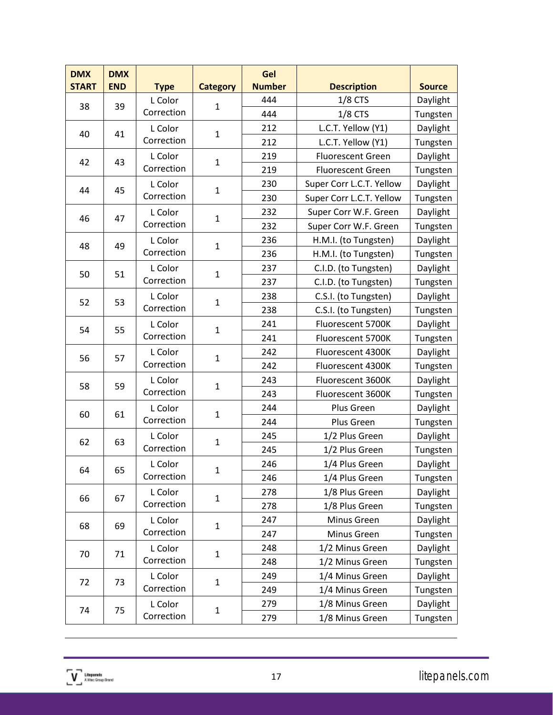| <b>DMX</b><br><b>START</b> | <b>DMX</b><br><b>END</b> | <b>Type</b> | <b>Category</b> | Gel<br><b>Number</b> | <b>Description</b>       | <b>Source</b> |
|----------------------------|--------------------------|-------------|-----------------|----------------------|--------------------------|---------------|
| 38                         | 39                       | L Color     | $\mathbf{1}$    | 444                  | $1/8$ CTS                | Daylight      |
|                            |                          | Correction  |                 | 444                  | $1/8$ CTS                | Tungsten      |
| 40                         | 41                       | L Color     | $\mathbf 1$     | 212                  | L.C.T. Yellow (Y1)       | Daylight      |
|                            |                          | Correction  |                 | 212                  | L.C.T. Yellow (Y1)       | Tungsten      |
| 42                         | 43                       | L Color     | $\mathbf{1}$    | 219                  | <b>Fluorescent Green</b> | Daylight      |
|                            |                          | Correction  |                 | 219                  | <b>Fluorescent Green</b> | Tungsten      |
| 44                         | 45                       | L Color     | $\mathbf{1}$    | 230                  | Super Corr L.C.T. Yellow | Daylight      |
|                            |                          | Correction  |                 | 230                  | Super Corr L.C.T. Yellow | Tungsten      |
| 46                         | 47                       | L Color     | $\mathbf{1}$    | 232                  | Super Corr W.F. Green    | Daylight      |
|                            |                          | Correction  |                 | 232                  | Super Corr W.F. Green    | Tungsten      |
| 48                         | 49                       | L Color     | $\mathbf{1}$    | 236                  | H.M.I. (to Tungsten)     | Daylight      |
|                            |                          | Correction  |                 | 236                  | H.M.I. (to Tungsten)     | Tungsten      |
| 50                         | 51                       | L Color     | $\mathbf{1}$    | 237                  | C.I.D. (to Tungsten)     | Daylight      |
|                            |                          | Correction  |                 | 237                  | C.I.D. (to Tungsten)     | Tungsten      |
| 52                         | 53                       | L Color     | $\mathbf{1}$    | 238                  | C.S.I. (to Tungsten)     | Daylight      |
|                            |                          | Correction  |                 | 238                  | C.S.I. (to Tungsten)     | Tungsten      |
| 54                         | 55                       | L Color     | $\mathbf{1}$    | 241                  | Fluorescent 5700K        | Daylight      |
|                            |                          | Correction  |                 | 241                  | Fluorescent 5700K        | Tungsten      |
| 56                         | 57                       | L Color     | $\mathbf{1}$    | 242                  | Fluorescent 4300K        | Daylight      |
|                            |                          | Correction  |                 | 242                  | Fluorescent 4300K        | Tungsten      |
| 58                         | 59                       | L Color     | $\mathbf{1}$    | 243                  | Fluorescent 3600K        | Daylight      |
|                            |                          | Correction  |                 | 243                  | Fluorescent 3600K        | Tungsten      |
| 60                         | 61                       | L Color     | $\mathbf{1}$    | 244                  | Plus Green               | Daylight      |
|                            |                          | Correction  |                 | 244                  | Plus Green               | Tungsten      |
| 62                         | 63                       | L Color     | $\mathbf{1}$    | 245                  | 1/2 Plus Green           | Daylight      |
|                            |                          | Correction  |                 | 245                  | 1/2 Plus Green           | Tungsten      |
| 64                         | 65                       | L Color     | 1               | 246                  | 1/4 Plus Green           | Daylight      |
|                            |                          | Correction  |                 | 246                  | 1/4 Plus Green           | Tungsten      |
| 66                         | 67                       | L Color     | $\mathbf{1}$    | 278                  | 1/8 Plus Green           | Daylight      |
|                            |                          | Correction  |                 | 278                  | 1/8 Plus Green           | Tungsten      |
| 68                         | 69                       | L Color     | $\mathbf{1}$    | 247                  | Minus Green              | Daylight      |
|                            |                          | Correction  |                 | 247                  | Minus Green              | Tungsten      |
| 70                         | 71                       | L Color     | $\mathbf{1}$    | 248                  | 1/2 Minus Green          | Daylight      |
|                            |                          | Correction  |                 | 248                  | 1/2 Minus Green          | Tungsten      |
| 72                         | 73                       | L Color     | $\mathbf{1}$    | 249                  | 1/4 Minus Green          | Daylight      |
|                            |                          | Correction  |                 | 249                  | 1/4 Minus Green          | Tungsten      |
| 74                         | 75                       | L Color     | $\mathbf{1}$    | 279                  | 1/8 Minus Green          | Daylight      |
|                            |                          | Correction  |                 | 279                  | 1/8 Minus Green          | Tungsten      |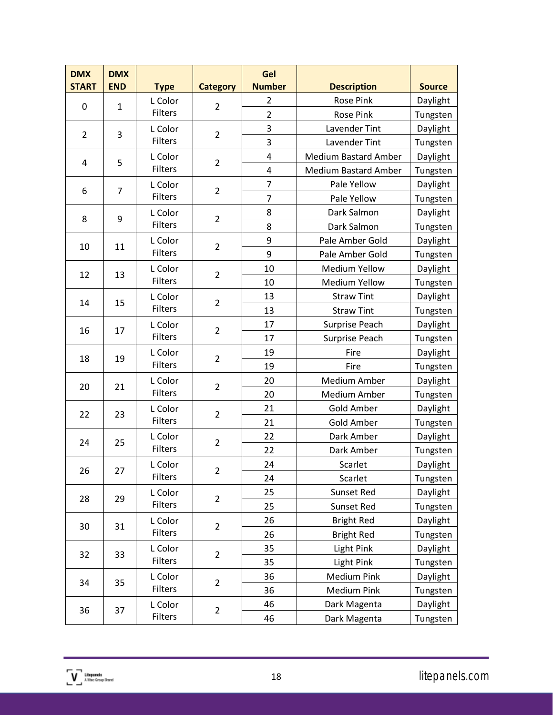| <b>DMX</b><br><b>START</b> | <b>DMX</b><br><b>END</b> | <b>Type</b>    | <b>Category</b> | Gel<br><b>Number</b>    | <b>Description</b>          | <b>Source</b> |
|----------------------------|--------------------------|----------------|-----------------|-------------------------|-----------------------------|---------------|
|                            |                          | L Color        |                 | 2                       | <b>Rose Pink</b>            | Daylight      |
| 0                          | $\mathbf{1}$             | <b>Filters</b> | $\overline{2}$  | $\overline{2}$          | <b>Rose Pink</b>            | Tungsten      |
|                            |                          | L Color        |                 | 3                       | Lavender Tint               | Daylight      |
| $\overline{2}$             | 3                        | <b>Filters</b> | $\overline{2}$  | 3                       | Lavender Tint               | Tungsten      |
|                            |                          | L Color        |                 | $\overline{\mathbf{4}}$ | <b>Medium Bastard Amber</b> | Daylight      |
| 4                          | 5                        | <b>Filters</b> | $\overline{2}$  | $\overline{4}$          | <b>Medium Bastard Amber</b> | Tungsten      |
|                            | $\overline{7}$           | L Color        |                 | 7                       | Pale Yellow                 | Daylight      |
| 6                          |                          | <b>Filters</b> | $\overline{2}$  | 7                       | Pale Yellow                 | Tungsten      |
|                            |                          | L Color        | $\overline{2}$  | 8                       | Dark Salmon                 | Daylight      |
| 8                          | 9                        | Filters        |                 | 8                       | Dark Salmon                 | Tungsten      |
|                            |                          | L Color        |                 | 9                       | Pale Amber Gold             | Daylight      |
| 10                         | 11                       | <b>Filters</b> | $\overline{2}$  | 9                       | Pale Amber Gold             | Tungsten      |
| 12                         | 13                       | L Color        | $\overline{2}$  | 10                      | <b>Medium Yellow</b>        | Daylight      |
|                            |                          | <b>Filters</b> |                 | 10                      | <b>Medium Yellow</b>        | Tungsten      |
|                            |                          | L Color        |                 | 13                      | <b>Straw Tint</b>           | Daylight      |
| 14                         | 15                       | <b>Filters</b> | $\overline{2}$  | 13                      | <b>Straw Tint</b>           | Tungsten      |
|                            | 17                       | L Color        |                 | 17                      | Surprise Peach              | Daylight      |
| 16                         |                          | <b>Filters</b> | $\overline{2}$  | 17                      | <b>Surprise Peach</b>       | Tungsten      |
| 18                         | 19                       | L Color        | $\overline{2}$  | 19                      | Fire                        | Daylight      |
|                            |                          | <b>Filters</b> |                 | 19                      | Fire                        | Tungsten      |
| 20                         | 21                       | L Color        |                 | 20                      | <b>Medium Amber</b>         | Daylight      |
|                            |                          | <b>Filters</b> | $\overline{2}$  | 20                      | <b>Medium Amber</b>         | Tungsten      |
| 22                         |                          | L Color<br>23  | $\overline{2}$  | 21                      | <b>Gold Amber</b>           | Daylight      |
|                            |                          | <b>Filters</b> |                 | 21                      | <b>Gold Amber</b>           | Tungsten      |
| 24                         | 25                       | L Color        | $\overline{2}$  | 22                      | Dark Amber                  | Daylight      |
|                            |                          | <b>Filters</b> |                 | 22                      | Dark Amber                  | Tungsten      |
| 26                         |                          | L Color        |                 | 24                      | Scarlet                     | Daylight      |
|                            | 27                       | <b>Filters</b> | 2               | 24                      | Scarlet                     | Tungsten      |
| 28                         | 29                       | L Color        | $\overline{2}$  | 25                      | Sunset Red                  | Daylight      |
|                            |                          | <b>Filters</b> |                 | 25                      | Sunset Red                  | Tungsten      |
| 30                         | 31                       | L Color        | $\overline{2}$  | 26                      | <b>Bright Red</b>           | Daylight      |
|                            |                          | <b>Filters</b> |                 | 26                      | <b>Bright Red</b>           | Tungsten      |
| 32                         | 33                       | L Color        | $\overline{2}$  | 35                      | <b>Light Pink</b>           | Daylight      |
|                            |                          | <b>Filters</b> |                 | 35                      | <b>Light Pink</b>           | Tungsten      |
| 34                         | 35                       | L Color        | $\overline{2}$  | 36                      | <b>Medium Pink</b>          | Daylight      |
|                            |                          | <b>Filters</b> |                 | 36                      | <b>Medium Pink</b>          | Tungsten      |
| 36                         | 37                       | L Color        | $\overline{2}$  | 46                      | Dark Magenta                | Daylight      |
|                            |                          | <b>Filters</b> |                 | 46                      | Dark Magenta                | Tungsten      |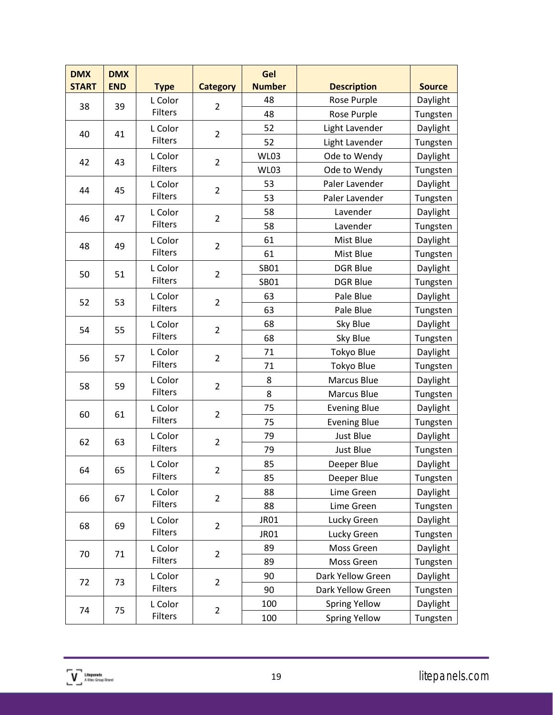| <b>DMX</b><br><b>START</b> | <b>DMX</b><br><b>END</b> | <b>Type</b>    | <b>Category</b> | Gel<br><b>Number</b> | <b>Description</b>   | <b>Source</b> |
|----------------------------|--------------------------|----------------|-----------------|----------------------|----------------------|---------------|
|                            |                          | L Color        |                 | 48                   | Rose Purple          | Daylight      |
| 38                         | 39                       | <b>Filters</b> | $\overline{2}$  | 48                   | Rose Purple          | Tungsten      |
|                            |                          | L Color        |                 | 52                   | Light Lavender       | Daylight      |
| 40                         | 41                       | <b>Filters</b> | $\overline{2}$  | 52                   | Light Lavender       | Tungsten      |
|                            |                          | L Color        |                 | <b>WL03</b>          | Ode to Wendy         | Daylight      |
| 42                         | 43                       | <b>Filters</b> | $\overline{2}$  | <b>WL03</b>          | Ode to Wendy         | Tungsten      |
| 44                         | 45                       | L Color        | $\overline{2}$  | 53                   | Paler Lavender       | Daylight      |
|                            |                          | <b>Filters</b> |                 | 53                   | Paler Lavender       | Tungsten      |
| 46                         | 47                       | L Color        | $\overline{2}$  | 58                   | Lavender             | Daylight      |
|                            |                          | Filters        |                 | 58                   | Lavender             | Tungsten      |
| 48                         | 49                       | L Color        | $\overline{2}$  | 61                   | Mist Blue            | Daylight      |
|                            |                          | Filters        |                 | 61                   | Mist Blue            | Tungsten      |
| 50                         | 51                       | L Color        | $\overline{2}$  | <b>SB01</b>          | <b>DGR Blue</b>      | Daylight      |
|                            |                          | <b>Filters</b> |                 | SB01                 | <b>DGR Blue</b>      | Tungsten      |
| 52                         | 53                       | L Color        | $\overline{2}$  | 63                   | Pale Blue            | Daylight      |
|                            |                          | <b>Filters</b> |                 | 63                   | Pale Blue            | Tungsten      |
| 54                         | 55                       | L Color        | $\overline{2}$  | 68                   | Sky Blue             | Daylight      |
|                            |                          | <b>Filters</b> |                 | 68                   | Sky Blue             | Tungsten      |
| 56                         | 57                       | L Color        | $\overline{2}$  | 71                   | Tokyo Blue           | Daylight      |
|                            |                          | <b>Filters</b> |                 | 71                   | Tokyo Blue           | Tungsten      |
| 58                         | 59                       | L Color        | $\overline{2}$  | 8                    | <b>Marcus Blue</b>   | Daylight      |
|                            |                          | Filters        |                 | 8                    | <b>Marcus Blue</b>   | Tungsten      |
| 60                         | 61                       | L Color        | $\overline{2}$  | 75                   | <b>Evening Blue</b>  | Daylight      |
|                            |                          | Filters        |                 | 75                   | <b>Evening Blue</b>  | Tungsten      |
| 62                         | 63                       | L Color        | $\overline{2}$  | 79                   | Just Blue            | Daylight      |
|                            |                          | <b>Filters</b> |                 | 79                   | Just Blue            | Tungsten      |
| 64                         | 65                       | L Color        | 2               | 85                   | Deeper Blue          | Daylight      |
|                            |                          | <b>Filters</b> |                 | 85                   | Deeper Blue          | Tungsten      |
| 66                         | 67                       | L Color        | $\overline{2}$  | 88                   | Lime Green           | Daylight      |
|                            |                          | Filters        |                 | 88                   | Lime Green           | Tungsten      |
| 68                         | 69                       | L Color        | $\overline{2}$  | <b>JR01</b>          | Lucky Green          | Daylight      |
|                            |                          | <b>Filters</b> |                 | <b>JR01</b>          | Lucky Green          | Tungsten      |
| 70                         | 71                       | L Color        | $\overline{2}$  | 89                   | Moss Green           | Daylight      |
|                            |                          | <b>Filters</b> |                 | 89                   | Moss Green           | Tungsten      |
| 72                         | 73                       | L Color        | $\overline{2}$  | 90                   | Dark Yellow Green    | Daylight      |
|                            |                          | <b>Filters</b> |                 | 90                   | Dark Yellow Green    | Tungsten      |
| 74                         | 75                       | L Color        | $\overline{2}$  | 100                  | <b>Spring Yellow</b> | Daylight      |
|                            |                          | <b>Filters</b> |                 | 100                  | <b>Spring Yellow</b> | Tungsten      |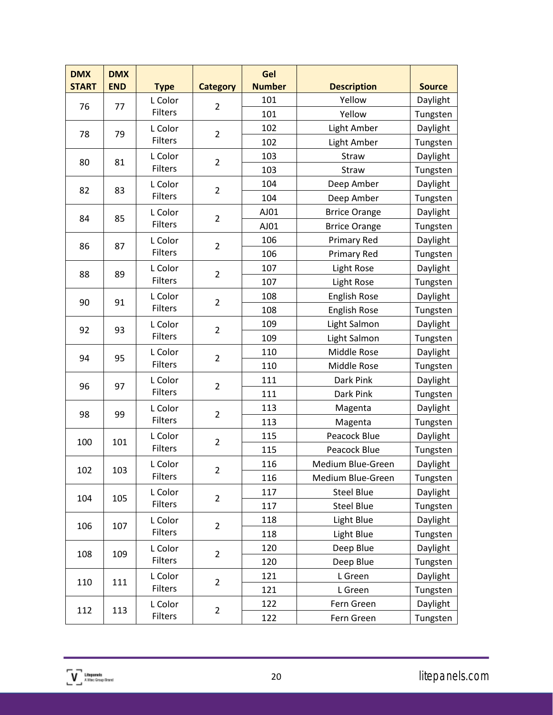| <b>DMX</b><br><b>START</b> | <b>DMX</b><br><b>END</b> | <b>Type</b>    | <b>Category</b> | Gel<br><b>Number</b> | <b>Description</b>   | <b>Source</b> |
|----------------------------|--------------------------|----------------|-----------------|----------------------|----------------------|---------------|
|                            |                          | L Color        |                 | 101                  | Yellow               | Daylight      |
| 76                         | 77                       | Filters        | $\overline{2}$  | 101                  | Yellow               | Tungsten      |
|                            |                          | L Color        |                 | 102                  | Light Amber          | Daylight      |
| 78                         | 79                       | <b>Filters</b> | $\overline{2}$  | 102                  | Light Amber          | Tungsten      |
|                            |                          | L Color        |                 | 103                  | Straw                | Daylight      |
| 80                         | 81                       | <b>Filters</b> | $\overline{2}$  | 103                  | Straw                | Tungsten      |
| 82                         | 83                       | L Color        | $\overline{2}$  | 104                  | Deep Amber           | Daylight      |
|                            |                          | <b>Filters</b> |                 | 104                  | Deep Amber           | Tungsten      |
| 84                         | 85                       | L Color        | $\overline{2}$  | AJ01                 | <b>Brrice Orange</b> | Daylight      |
|                            |                          | <b>Filters</b> |                 | AJ01                 | <b>Brrice Orange</b> | Tungsten      |
| 86                         | 87                       | L Color        | $\overline{2}$  | 106                  | <b>Primary Red</b>   | Daylight      |
|                            |                          | Filters        |                 | 106                  | Primary Red          | Tungsten      |
| 88                         | 89                       | L Color        | $\overline{2}$  | 107                  | Light Rose           | Daylight      |
|                            |                          | <b>Filters</b> |                 | 107                  | Light Rose           | Tungsten      |
| 90                         | 91                       | L Color        | $\overline{2}$  | 108                  | <b>English Rose</b>  | Daylight      |
|                            |                          | <b>Filters</b> |                 | 108                  | <b>English Rose</b>  | Tungsten      |
| 92                         | 93                       | L Color        | $\overline{2}$  | 109                  | Light Salmon         | Daylight      |
|                            |                          | <b>Filters</b> |                 | 109                  | Light Salmon         | Tungsten      |
| 94                         | 95                       | L Color        | $\overline{2}$  | 110                  | Middle Rose          | Daylight      |
|                            |                          | <b>Filters</b> |                 | 110                  | Middle Rose          | Tungsten      |
| 96                         | 97                       | L Color        | $\overline{2}$  | 111                  | Dark Pink            | Daylight      |
|                            |                          | <b>Filters</b> |                 | 111                  | Dark Pink            | Tungsten      |
| 98                         | 99                       | L Color        | $\overline{2}$  | 113                  | Magenta              | Daylight      |
|                            |                          | Filters        |                 | 113                  | Magenta              | Tungsten      |
| 100                        | 101                      | L Color        | $\overline{2}$  | 115                  | Peacock Blue         | Daylight      |
|                            |                          | <b>Filters</b> |                 | 115                  | Peacock Blue         | Tungsten      |
| 102                        | 103                      | L Color        | 2               | 116                  | Medium Blue-Green    | Daylight      |
|                            |                          | <b>Filters</b> |                 | 116                  | Medium Blue-Green    | Tungsten      |
| 104                        | 105                      | L Color        | $\overline{2}$  | 117                  | <b>Steel Blue</b>    | Daylight      |
|                            |                          | <b>Filters</b> |                 | 117                  | <b>Steel Blue</b>    | Tungsten      |
| 106                        | 107                      | L Color        | $\overline{2}$  | 118                  | Light Blue           | Daylight      |
|                            |                          | <b>Filters</b> |                 | 118                  | Light Blue           | Tungsten      |
| 108                        | 109                      | L Color        | $\overline{2}$  | 120                  | Deep Blue            | Daylight      |
|                            |                          | <b>Filters</b> |                 | 120                  | Deep Blue            | Tungsten      |
| 110                        | 111                      | L Color        | $\overline{2}$  | 121                  | L Green              | Daylight      |
|                            |                          | Filters        |                 | 121                  | L Green              | Tungsten      |
| 112                        | 113                      | L Color        | $\overline{2}$  | 122                  | Fern Green           | Daylight      |
|                            |                          | <b>Filters</b> |                 | 122                  | Fern Green           | Tungsten      |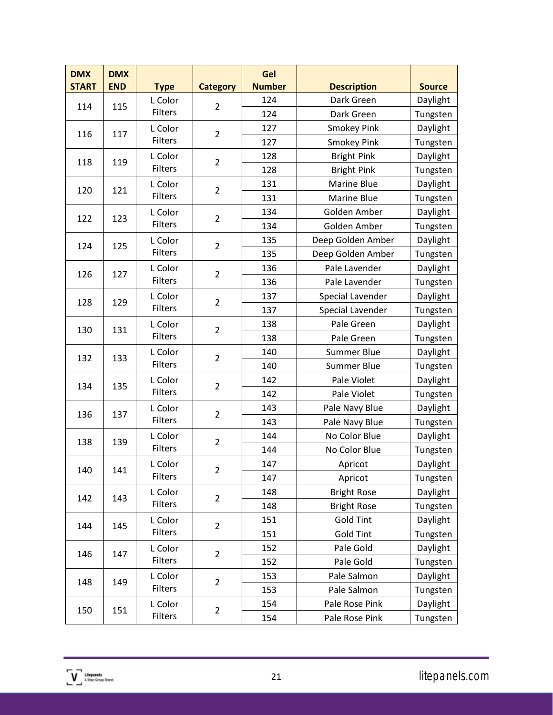| <b>DMX</b><br><b>START</b> | <b>DMX</b><br><b>END</b> | <b>Type</b>    | <b>Category</b>       | Gel<br><b>Number</b> | <b>Description</b> | <b>Source</b>  |          |
|----------------------------|--------------------------|----------------|-----------------------|----------------------|--------------------|----------------|----------|
|                            |                          | L Color        |                       | 124                  | Dark Green         | Daylight       |          |
| 114                        | 115                      | Filters        | $\overline{2}$        | 124                  | Dark Green         | Tungsten       |          |
|                            |                          | L Color        |                       | 127                  | <b>Smokey Pink</b> | Daylight       |          |
| 116                        | 117                      | <b>Filters</b> | $\overline{2}$        | 127                  | <b>Smokey Pink</b> | Tungsten       |          |
|                            |                          | L Color        |                       | 128                  | <b>Bright Pink</b> | Daylight       |          |
| 118                        | 119                      | <b>Filters</b> | $\overline{2}$        | 128                  | <b>Bright Pink</b> | Tungsten       |          |
|                            | 121                      | L Color        |                       | 131                  | Marine Blue        | Daylight       |          |
| 120                        |                          | <b>Filters</b> | $\overline{2}$        | 131                  | Marine Blue        | Tungsten       |          |
| 122                        | 123                      | L Color        | $\overline{2}$        | 134                  | Golden Amber       | Daylight       |          |
|                            |                          | Filters        |                       | 134                  | Golden Amber       | Tungsten       |          |
| 124                        | 125                      | L Color        | $\overline{2}$        | 135                  | Deep Golden Amber  | Daylight       |          |
|                            |                          | Filters        |                       | 135                  | Deep Golden Amber  | Tungsten       |          |
| 126                        | 127                      | L Color        | $\overline{2}$        | 136                  | Pale Lavender      | Daylight       |          |
|                            |                          | Filters        |                       | 136                  | Pale Lavender      | Tungsten       |          |
| 128                        | 129                      | L Color        | $\overline{2}$        | 137                  | Special Lavender   | Daylight       |          |
|                            |                          | <b>Filters</b> |                       | 137                  | Special Lavender   | Tungsten       |          |
| 130                        | 131                      | L Color        | $\overline{2}$        | 138                  | Pale Green         | Daylight       |          |
|                            |                          | <b>Filters</b> |                       | 138                  | Pale Green         | Tungsten       |          |
| 132                        | 133                      | L Color        | $\overline{2}$        | 140                  | <b>Summer Blue</b> | Daylight       |          |
|                            |                          | Filters        |                       | 140                  | Summer Blue        | Tungsten       |          |
| 134                        | 135                      | L Color        | $\overline{2}$        | 142                  | Pale Violet        | Daylight       |          |
|                            |                          | <b>Filters</b> |                       | 142                  | Pale Violet        | Tungsten       |          |
| 136                        |                          | L Color        | $\overline{2}$<br>137 |                      | 143                | Pale Navy Blue | Daylight |
|                            |                          | Filters        |                       | 143                  | Pale Navy Blue     | Tungsten       |          |
| 138                        | 139                      | L Color        | $\overline{2}$        | 144                  | No Color Blue      | Daylight       |          |
|                            |                          | Filters        |                       | 144                  | No Color Blue      | Tungsten       |          |
| 140                        | 141                      | L Color        |                       | 147                  | Apricot            | Daylight       |          |
|                            |                          | <b>Filters</b> | 2                     | 147                  | Apricot            | Tungsten       |          |
| 142                        | 143                      | L Color        | $\overline{2}$        | 148                  | <b>Bright Rose</b> | Daylight       |          |
|                            |                          | <b>Filters</b> |                       | 148                  | <b>Bright Rose</b> | Tungsten       |          |
| 144                        | 145                      | L Color        | $\overline{2}$        | 151                  | <b>Gold Tint</b>   | Daylight       |          |
|                            |                          | Filters        |                       | 151                  | <b>Gold Tint</b>   | Tungsten       |          |
| 146                        | 147                      | L Color        | $\overline{2}$        | 152                  | Pale Gold          | Daylight       |          |
|                            |                          | <b>Filters</b> |                       | 152                  | Pale Gold          | Tungsten       |          |
| 148                        | 149                      | L Color        | $\overline{2}$        | 153                  | Pale Salmon        | Daylight       |          |
|                            |                          | Filters        |                       | 153                  | Pale Salmon        | Tungsten       |          |
| 150                        | 151                      | L Color        | $\overline{2}$        | 154                  | Pale Rose Pink     | Daylight       |          |
|                            |                          | <b>Filters</b> |                       | 154                  | Pale Rose Pink     | Tungsten       |          |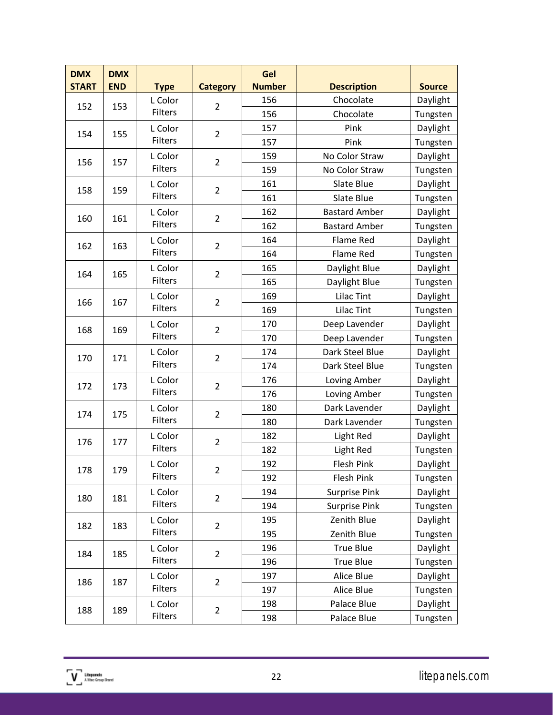| <b>DMX</b><br><b>START</b> | <b>DMX</b><br><b>END</b> | <b>Type</b>               | <b>Category</b> | Gel<br><b>Number</b> | <b>Description</b>   | <b>Source</b> |
|----------------------------|--------------------------|---------------------------|-----------------|----------------------|----------------------|---------------|
|                            |                          | L Color                   |                 | 156                  | Chocolate            | Daylight      |
| 152                        | 153                      | Filters                   | $\overline{2}$  | 156                  | Chocolate            | Tungsten      |
|                            |                          | L Color                   |                 | 157                  | Pink                 | Daylight      |
| 154                        | 155                      | <b>Filters</b>            | $\overline{2}$  | 157                  | Pink                 | Tungsten      |
|                            |                          | L Color                   |                 | 159                  | No Color Straw       | Daylight      |
| 156                        | 157                      | <b>Filters</b>            | $\overline{2}$  | 159                  | No Color Straw       | Tungsten      |
|                            |                          | L Color                   |                 | 161                  | Slate Blue           | Daylight      |
| 158                        | 159                      | <b>Filters</b>            | $\overline{2}$  | 161                  | Slate Blue           | Tungsten      |
|                            |                          | L Color                   | $\overline{2}$  | 162                  | <b>Bastard Amber</b> | Daylight      |
| 160                        | 161                      | Filters                   |                 | 162                  | <b>Bastard Amber</b> | Tungsten      |
|                            | 163                      | L Color                   | $\overline{2}$  | 164                  | Flame Red            | Daylight      |
| 162                        |                          | Filters                   |                 | 164                  | <b>Flame Red</b>     | Tungsten      |
| 164                        | 165                      | L Color                   | $\overline{2}$  | 165                  | Daylight Blue        | Daylight      |
|                            |                          | <b>Filters</b>            |                 | 165                  | Daylight Blue        | Tungsten      |
|                            |                          | L Color                   |                 | 169                  | <b>Lilac Tint</b>    | Daylight      |
| 166                        | 167                      | <b>Filters</b>            | $\overline{2}$  | 169                  | <b>Lilac Tint</b>    | Tungsten      |
|                            | 169                      | L Color                   | $\overline{2}$  | 170                  | Deep Lavender        | Daylight      |
| 168                        |                          | <b>Filters</b>            |                 | 170                  | Deep Lavender        | Tungsten      |
| 170                        |                          | L Color<br>171<br>Filters | $\overline{2}$  | 174                  | Dark Steel Blue      | Daylight      |
|                            |                          |                           |                 | 174                  | Dark Steel Blue      | Tungsten      |
| 172                        | 173                      | L Color                   | $\overline{2}$  | 176                  | Loving Amber         | Daylight      |
|                            |                          | <b>Filters</b>            |                 | 176                  | Loving Amber         | Tungsten      |
| 174                        | 175                      | L Color                   | $\overline{2}$  | 180                  | Dark Lavender        | Daylight      |
|                            |                          | Filters                   |                 | 180                  | Dark Lavender        | Tungsten      |
| 176                        | 177                      | L Color                   | $\overline{2}$  | 182                  | Light Red            | Daylight      |
|                            |                          | Filters                   |                 | 182                  | Light Red            | Tungsten      |
| 178                        | 179                      | L Color                   |                 | 192                  | <b>Flesh Pink</b>    | Daylight      |
|                            |                          | <b>Filters</b>            | 2               | 192                  | Flesh Pink           | Tungsten      |
| 180                        | 181                      | L Color                   | $\overline{2}$  | 194                  | Surprise Pink        | Daylight      |
|                            |                          | <b>Filters</b>            |                 | 194                  | Surprise Pink        | Tungsten      |
| 182                        | 183                      | L Color                   | $\overline{2}$  | 195                  | Zenith Blue          | Daylight      |
|                            |                          | <b>Filters</b>            |                 | 195                  | Zenith Blue          | Tungsten      |
| 184                        | 185                      | L Color                   | $\overline{2}$  | 196                  | <b>True Blue</b>     | Daylight      |
|                            |                          | <b>Filters</b>            |                 | 196                  | <b>True Blue</b>     | Tungsten      |
| 186                        | 187                      | L Color                   |                 | 197                  | Alice Blue           | Daylight      |
|                            |                          | Filters                   | $\overline{2}$  | 197                  | Alice Blue           | Tungsten      |
| 188                        | 189                      | L Color                   | $\overline{2}$  | 198                  | Palace Blue          | Daylight      |
|                            |                          | <b>Filters</b>            |                 | 198                  | Palace Blue          | Tungsten      |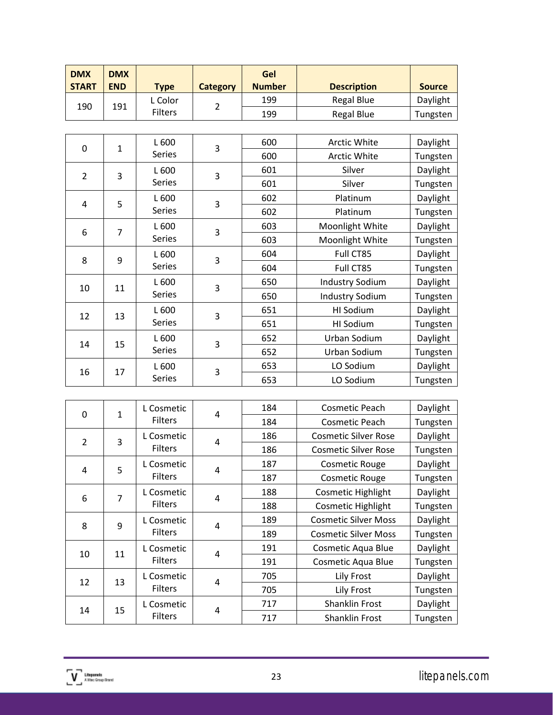| <b>DMX</b><br><b>START</b> | <b>DMX</b><br><b>END</b> | <b>Type</b>    | Category | Gel<br><b>Number</b> | <b>Description</b> | <b>Source</b> |
|----------------------------|--------------------------|----------------|----------|----------------------|--------------------|---------------|
|                            |                          | ∟ Color        |          | 199                  | <b>Regal Blue</b>  | Daylight      |
| 190                        | 191                      | <b>Filters</b> |          | 199                  | <b>Regal Blue</b>  | Tungsten      |

| 0              | $\mathbf{1}$   | L 600         | 3 | 600 | <b>Arctic White</b>    | Daylight |
|----------------|----------------|---------------|---|-----|------------------------|----------|
|                |                | <b>Series</b> |   | 600 | <b>Arctic White</b>    | Tungsten |
| $\overline{2}$ | 3              | L 600         | 3 | 601 | Silver                 | Daylight |
|                |                | Series        |   | 601 | Silver                 | Tungsten |
| 4              | 5              | L 600         | 3 | 602 | Platinum               | Daylight |
|                |                | Series        |   | 602 | Platinum               | Tungsten |
| 6              | $\overline{7}$ | L 600         | 3 | 603 | Moonlight White        | Daylight |
|                |                | Series        |   | 603 | Moonlight White        | Tungsten |
| 8              | 9              | L 600         | 3 | 604 | Full CT85              | Daylight |
|                |                | <b>Series</b> |   | 604 | Full CT85              | Tungsten |
| 10             | 11             | L 600         | 3 | 650 | <b>Industry Sodium</b> | Daylight |
|                |                | Series        |   | 650 | <b>Industry Sodium</b> | Tungsten |
| 12             | 13             | L 600         | 3 | 651 | HI Sodium              | Daylight |
|                |                | Series        |   | 651 | HI Sodium              | Tungsten |
| 14             | 15             | L 600         | 3 | 652 | Urban Sodium           | Daylight |
|                |                | Series        |   | 652 | Urban Sodium           | Tungsten |
| 16             | 17             | L 600         | 3 | 653 | LO Sodium              | Daylight |
|                |                | Series        |   | 653 | LO Sodium              | Tungsten |

| $\mathbf{0}$   | $\mathbf{1}$   | L Cosmetic<br>Filters        | 4              | 184 | Cosmetic Peach              | Daylight |
|----------------|----------------|------------------------------|----------------|-----|-----------------------------|----------|
|                |                |                              |                | 184 | Cosmetic Peach              | Tungsten |
| $\overline{2}$ | 3              | L Cosmetic<br><b>Filters</b> | 4              | 186 | <b>Cosmetic Silver Rose</b> | Daylight |
|                |                |                              |                | 186 | <b>Cosmetic Silver Rose</b> | Tungsten |
| 4              | 5              | L Cosmetic                   | $\overline{4}$ | 187 | <b>Cosmetic Rouge</b>       | Daylight |
|                |                | <b>Filters</b>               |                | 187 | <b>Cosmetic Rouge</b>       | Tungsten |
|                | $\overline{7}$ | L Cosmetic<br><b>Filters</b> | 4              | 188 | Cosmetic Highlight          | Daylight |
| 6              |                |                              |                | 188 | Cosmetic Highlight          | Tungsten |
| 8              | 9              | L Cosmetic                   | 4              | 189 | <b>Cosmetic Silver Moss</b> | Daylight |
|                |                | <b>Filters</b>               |                | 189 | <b>Cosmetic Silver Moss</b> | Tungsten |
| 10             |                | L Cosmetic<br>11<br>Filters  | $\overline{4}$ | 191 | Cosmetic Aqua Blue          | Daylight |
|                |                |                              |                | 191 | Cosmetic Aqua Blue          | Tungsten |
|                | 13             | L Cosmetic<br><b>Filters</b> | 4              | 705 | <b>Lily Frost</b>           | Daylight |
| 12             |                |                              |                | 705 | Lily Frost                  | Tungsten |
| 14             | 15             | L Cosmetic<br><b>Filters</b> | 4              | 717 | <b>Shanklin Frost</b>       | Daylight |
|                |                |                              |                | 717 | <b>Shanklin Frost</b>       | Tungsten |

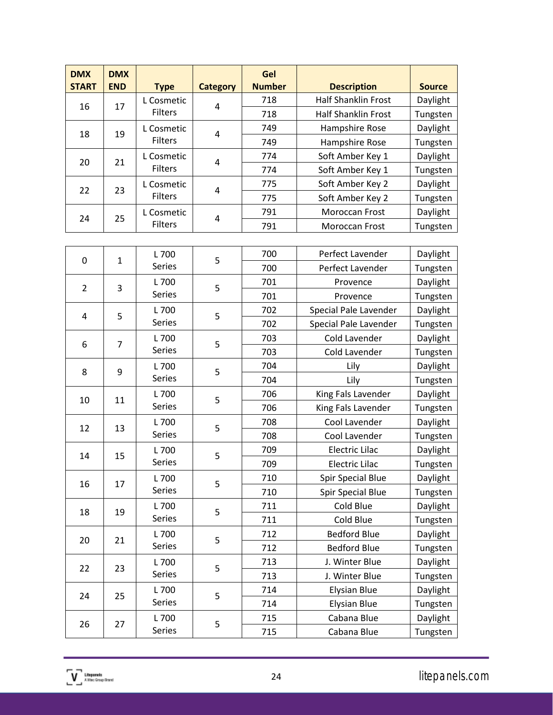| <b>DMX</b><br><b>START</b> | <b>DMX</b><br><b>END</b> | <b>Type</b>                  | <b>Category</b> | Gel<br><b>Number</b> | <b>Description</b>         | <b>Source</b> |
|----------------------------|--------------------------|------------------------------|-----------------|----------------------|----------------------------|---------------|
|                            | 17                       | L Cosmetic                   | 4               | 718                  | <b>Half Shanklin Frost</b> | Daylight      |
| 16                         |                          | <b>Filters</b>               |                 | 718                  | <b>Half Shanklin Frost</b> | Tungsten      |
| 18                         | 19                       | L Cosmetic                   | 4               | 749                  | Hampshire Rose             | Daylight      |
|                            |                          | <b>Filters</b>               |                 | 749                  | Hampshire Rose             | Tungsten      |
| 20                         | 21                       | L Cosmetic<br><b>Filters</b> | 4               | 774                  | Soft Amber Key 1           | Daylight      |
|                            |                          |                              |                 | 774                  | Soft Amber Key 1           | Tungsten      |
| 22                         | 23                       | L Cosmetic<br><b>Filters</b> | 4               | 775                  | Soft Amber Key 2           | Daylight      |
|                            |                          |                              |                 | 775                  | Soft Amber Key 2           | Tungsten      |
| 24                         | 25                       | L Cosmetic                   |                 | 791                  | <b>Moroccan Frost</b>      | Daylight      |
|                            |                          | <b>Filters</b>               | 4               | 791                  | <b>Moroccan Frost</b>      | Tungsten      |

| 0              | $\mathbf{1}$   | L 700                 | 5 | 700 | Perfect Lavender         | Daylight |
|----------------|----------------|-----------------------|---|-----|--------------------------|----------|
|                |                | Series                |   | 700 | Perfect Lavender         | Tungsten |
| $\overline{2}$ | 3              | L 700                 | 5 | 701 | Provence                 | Daylight |
|                |                | Series                |   | 701 | Provence                 | Tungsten |
| 4              | 5              | L 700                 | 5 | 702 | Special Pale Lavender    | Daylight |
|                |                | Series                |   | 702 | Special Pale Lavender    | Tungsten |
| 6              | $\overline{7}$ | L 700                 | 5 | 703 | Cold Lavender            | Daylight |
|                |                | <b>Series</b>         |   | 703 | Cold Lavender            | Tungsten |
| 8              | 9              | L 700                 | 5 | 704 | Lily                     | Daylight |
|                |                | <b>Series</b>         |   | 704 | Lily                     | Tungsten |
| 10             | 11             | L 700                 | 5 | 706 | King Fals Lavender       | Daylight |
|                |                | <b>Series</b>         |   | 706 | King Fals Lavender       | Tungsten |
| 12             | 13             | L 700                 | 5 | 708 | Cool Lavender            | Daylight |
|                |                | Series                |   | 708 | Cool Lavender            | Tungsten |
| 14             | 15             | L 700                 | 5 | 709 | <b>Electric Lilac</b>    | Daylight |
|                |                | <b>Series</b>         |   | 709 | <b>Electric Lilac</b>    | Tungsten |
| 16             | 17             | L 700                 | 5 | 710 | <b>Spir Special Blue</b> | Daylight |
|                |                | <b>Series</b>         |   | 710 | <b>Spir Special Blue</b> | Tungsten |
| 18             | 19             | L 700                 | 5 | 711 | Cold Blue                | Daylight |
|                |                | Series                |   | 711 | Cold Blue                | Tungsten |
| 20             |                | L 700<br>21<br>Series | 5 | 712 | <b>Bedford Blue</b>      | Daylight |
|                |                |                       |   | 712 | <b>Bedford Blue</b>      | Tungsten |
| 22             | 23             | L 700                 | 5 | 713 | J. Winter Blue           | Daylight |
|                |                | Series                |   | 713 | J. Winter Blue           | Tungsten |
| 24             | 25             | L 700                 | 5 | 714 | <b>Elysian Blue</b>      | Daylight |
|                |                | Series                |   | 714 | <b>Elysian Blue</b>      | Tungsten |
| 26             | 27             | L 700                 | 5 | 715 | Cabana Blue              | Daylight |
|                |                | <b>Series</b>         |   | 715 | Cabana Blue              | Tungsten |
|                |                |                       |   |     |                          |          |

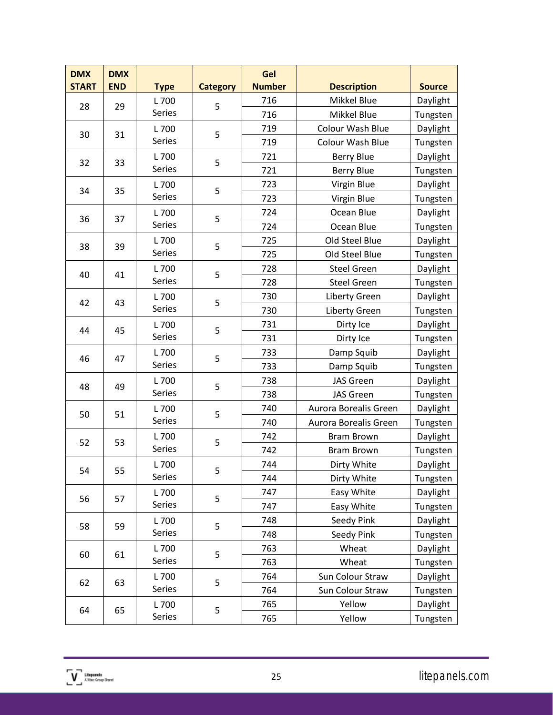| <b>DMX</b><br><b>START</b> | <b>DMX</b><br><b>END</b> | <b>Type</b>          | <b>Category</b> | Gel<br><b>Number</b> | <b>Description</b>    | <b>Source</b> |
|----------------------------|--------------------------|----------------------|-----------------|----------------------|-----------------------|---------------|
|                            |                          | L 700                |                 | 716                  | Mikkel Blue           | Daylight      |
| 28                         | 29                       | Series               | 5               | 716                  | Mikkel Blue           | Tungsten      |
|                            |                          | L 700                |                 | 719                  | Colour Wash Blue      | Daylight      |
| 30                         | 31                       | Series               | 5               | 719                  | Colour Wash Blue      | Tungsten      |
|                            |                          | L 700                |                 | 721                  | <b>Berry Blue</b>     | Daylight      |
| 32                         | 33                       | Series               | 5               | 721                  | <b>Berry Blue</b>     | Tungsten      |
|                            |                          | L 700                |                 | 723                  | Virgin Blue           | Daylight      |
| 34                         | 35                       | Series               | 5               | 723                  | Virgin Blue           | Tungsten      |
|                            |                          | L 700                |                 | 724                  | Ocean Blue            | Daylight      |
| 36                         | 37                       | Series               | 5               | 724                  | Ocean Blue            | Tungsten      |
|                            |                          | L 700                | 5               | 725                  | Old Steel Blue        | Daylight      |
| 38                         | 39                       | Series               |                 | 725                  | Old Steel Blue        | Tungsten      |
|                            |                          | L 700                | 5               | 728                  | <b>Steel Green</b>    | Daylight      |
| 40                         | 41                       | Series               |                 | 728                  | <b>Steel Green</b>    | Tungsten      |
| 42                         | 43                       | L 700                |                 | 730                  | Liberty Green         | Daylight      |
|                            |                          | Series               | 5               | 730                  | Liberty Green         | Tungsten      |
| 44                         |                          | L 700                |                 | 731                  | Dirty Ice             | Daylight      |
|                            | 45                       | Series               | 5               | 731                  | Dirty Ice             | Tungsten      |
| 46                         | 47                       | L 700                | 5               | 733                  | Damp Squib            | Daylight      |
|                            |                          | Series               |                 | 733                  | Damp Squib            | Tungsten      |
| 48                         | 49                       | L 700                | 5               | 738                  | <b>JAS Green</b>      | Daylight      |
|                            |                          | Series               |                 | 738                  | <b>JAS Green</b>      | Tungsten      |
| 50                         | 51                       | L 700                | 5               | 740                  | Aurora Borealis Green | Daylight      |
|                            |                          | Series               |                 | 740                  | Aurora Borealis Green | Tungsten      |
| 52                         | 53                       | L 700                | 5               | 742                  | <b>Bram Brown</b>     | Daylight      |
|                            |                          | Series               |                 | 742                  | <b>Bram Brown</b>     | Tungsten      |
| 54                         | 55                       | L 700                | 5               | 744                  | Dirty White           | Daylight      |
|                            |                          | Series               |                 | 744                  | Dirty White           | Tungsten      |
| 56                         | 57                       | L 700                | 5               | 747                  | Easy White            | Daylight      |
|                            |                          | Series               |                 | 747                  | Easy White            | Tungsten      |
| 58                         | 59                       | L 700                | 5               | 748                  | Seedy Pink            | Daylight      |
|                            |                          | Series               |                 | 748                  | Seedy Pink            | Tungsten      |
| 60                         | 61                       | L 700<br>Series      | 5               | 763                  | Wheat                 | Daylight      |
|                            |                          |                      |                 | 763                  | Wheat                 | Tungsten      |
| 62                         | 63                       | L 700<br>5<br>Series |                 | 764                  | Sun Colour Straw      | Daylight      |
|                            |                          |                      |                 | 764                  | Sun Colour Straw      | Tungsten      |
|                            | 65                       | L 700                | 5               | 765                  | Yellow                | Daylight      |
| 64                         |                          | Series               |                 | 765                  | Yellow                | Tungsten      |